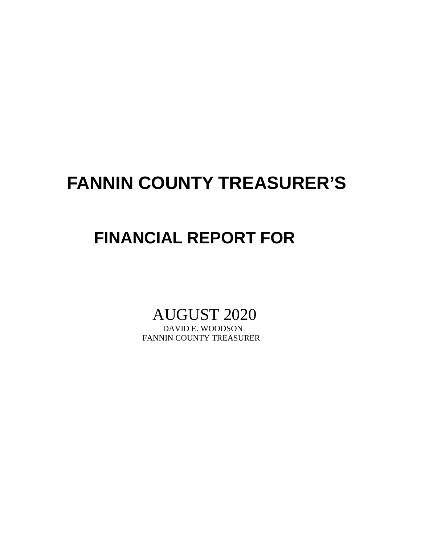## **FANNIN COUNTY TREASURER'S**

## **FINANCIAL REPORT FOR**

# AUGUST 2020

FANNIN COUNTY TREASURER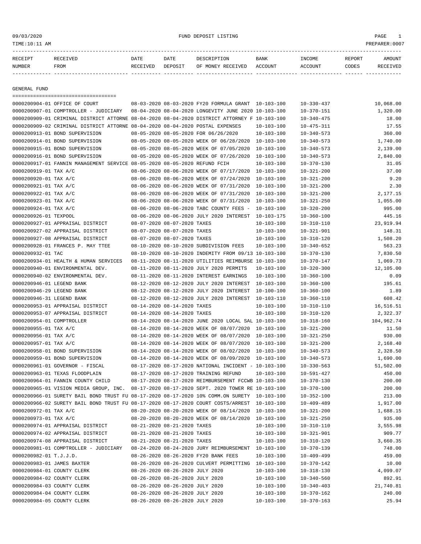09/03/2020 FUND DEPOSIT LISTING PAGE 1

| RECEIPT | RECEIVED | DATE     | DATE    | DESCRIPTION       | <b>BANK</b> | <b>TNCOME</b> | REPORT | AMOUNT   |
|---------|----------|----------|---------|-------------------|-------------|---------------|--------|----------|
| NUMBER  | FROM     | RECEIVED | DEPOSIT | OF MONEY RECEIVED | ACCOUNT     | ACCOUNT       | CODES  | RECEIVED |
|         |          |          |         |                   |             |               |        |          |

GENERAL FUND

|                            | =====================================                                                        |                                 |                                                      |                  |                  |            |
|----------------------------|----------------------------------------------------------------------------------------------|---------------------------------|------------------------------------------------------|------------------|------------------|------------|
|                            | 0000200904-01 OFFICE OF COURT                                                                |                                 | 08-03-2020 08-03-2020 FY20 FORMULA GRANT 10-103-100  |                  | $10 - 330 - 437$ | 10,068.00  |
|                            | 0000200907-01 COMPTROLLER - JUDICIARY                                                        |                                 | 08-04-2020 08-04-2020 LONGEVITY JUNE 2020 10-103-100 |                  | $10 - 370 - 151$ | 1,320.00   |
|                            | 0000200909-01 CRIMINAL DISTRICT ATTORNE 08-04-2020 08-04-2020 DISTRICT ATTORNEY F 10-103-100 |                                 |                                                      |                  | $10 - 340 - 475$ | 18.00      |
|                            | 0000200909-02 CRIMINAL DISTRICT ATTORNE 08-04-2020 08-04-2020 POSTAL EXPENSES                |                                 |                                                      | $10 - 103 - 100$ | $10 - 475 - 311$ | 17.55      |
|                            | 0000200913-01 BOND SUPERVISION                                                               |                                 | 08-05-2020 08-05-2020 FOR 06/26/2020                 | $10 - 103 - 100$ | $10 - 340 - 573$ | 360.00     |
|                            | 0000200914-01 BOND SUPERVISION                                                               |                                 | 08-05-2020 08-05-2020 WEEK OF 06/28/2020             | 10-103-100       | $10 - 340 - 573$ | 1,740.00   |
|                            | 0000200915-01 BOND SUPERVISION                                                               |                                 | 08-05-2020 08-05-2020 WEEK OF 07/05/2020             | $10 - 103 - 100$ | $10 - 340 - 573$ | 2,139.00   |
|                            | 0000200916-01 BOND SUPERVISION                                                               |                                 | 08-05-2020 08-05-2020 WEEK OF 07/26/2020             | 10-103-100       | $10 - 340 - 573$ | 2,840.00   |
|                            | 0000200917-01 FANNIN MANAGEMENT SERVICE 08-05-2020 08-05-2020 REFUND FCIH                    |                                 |                                                      | $10 - 103 - 100$ | $10 - 370 - 130$ | 31.05      |
| 0000200919-01 TAX A/C      |                                                                                              |                                 | 08-06-2020 08-06-2020 WEEK OF 07/17/2020             | 10-103-100       | $10 - 321 - 200$ | 37.00      |
| 0000200920-01 TAX A/C      |                                                                                              |                                 | 08-06-2020 08-06-2020 WEEK OF 07/24/2020             | $10 - 103 - 100$ | $10 - 321 - 200$ | 9.20       |
| 0000200921-01 TAX A/C      |                                                                                              |                                 | 08-06-2020 08-06-2020 WEEK OF 07/31/2020             | 10-103-100       | $10 - 321 - 200$ | 2.30       |
| 0000200922-01 TAX A/C      |                                                                                              |                                 | 08-06-2020 08-06-2020 WEEK OF 07/31/2020             | 10-103-100       | $10 - 321 - 200$ | 2,177.15   |
| 0000200923-01 TAX A/C      |                                                                                              |                                 | 08-06-2020 08-06-2020 WEEK OF 07/31/2020             | 10-103-100       | $10 - 321 - 250$ | 1,055.00   |
| 0000200924-01 TAX A/C      |                                                                                              |                                 | 08-06-2020 08-06-2020 TABC COUNTY FEES -             | $10 - 103 - 100$ | $10 - 320 - 200$ | 995.00     |
| 0000200926-01 TEXPOOL      |                                                                                              |                                 | 08-06-2020 08-06-2020 JULY 2020 INTEREST             | 10-103-175       | $10 - 360 - 100$ | 445.16     |
|                            | 0000200927-01 APPRAISAL DISTRICT                                                             | 08-07-2020 08-07-2020 TAXES     |                                                      | $10 - 103 - 100$ | $10 - 310 - 110$ | 23,919.94  |
|                            | 0000200927-02 APPRAISAL DISTRICT                                                             | 08-07-2020 08-07-2020 TAXES     |                                                      | $10 - 103 - 100$ | $10 - 321 - 901$ | 148.31     |
|                            | 0000200927-08 APPRAISAL DISTRICT                                                             | 08-07-2020 08-07-2020 TAXES     |                                                      | $10 - 103 - 100$ | $10 - 310 - 120$ | 1,508.20   |
|                            | 0000200928-01 FRANCES P. MAY TTEE                                                            |                                 | 08-10-2020 08-10-2020 SUBDIVISION FEES               | $10 - 103 - 100$ | $10 - 340 - 652$ | 563.23     |
| 0000200932-01 TAC          |                                                                                              |                                 | 08-10-2020 08-10-2020 INDEMITY FROM 09/13 10-103-100 |                  | $10 - 370 - 130$ | 7,830.50   |
|                            | 0000200934-01 HEALTH & HUMAN SERVICES                                                        |                                 | 08-11-2020 08-11-2020 UTILITIES REIMBURSE 10-103-100 |                  | $10 - 370 - 147$ | 1,069.73   |
|                            | 0000200940-01 ENVIRONMENTAL DEV.                                                             |                                 | 08-11-2020 08-11-2020 JULY 2020 PERMITS              | $10 - 103 - 100$ | $10 - 320 - 300$ | 12,105.00  |
|                            | 0000200940-02 ENVIRONMENTAL DEV.                                                             |                                 | 08-11-2020 08-11-2020 INTEREST EARNINGS              | $10 - 103 - 100$ | $10 - 360 - 100$ | 0.09       |
| 0000200946-01 LEGEND BANK  |                                                                                              |                                 | 08-12-2020 08-12-2020 JULY 2020 INTEREST             | $10 - 103 - 100$ | $10 - 360 - 100$ | 195.61     |
| 0000200946-29 LEGEND BANK  |                                                                                              |                                 | 08-12-2020 08-12-2020 JULY 2020 INTEREST             | 10-100-100       | $10 - 360 - 100$ | 1.89       |
| 0000200946-31 LEGEND BANK  |                                                                                              |                                 | 08-12-2020 08-12-2020 JULY 2020 INTEREST             | 10-103-110       | $10 - 360 - 110$ | 608.42     |
|                            | 0000200953-01 APPRAISAL DISTRICT                                                             | 08-14-2020 08-14-2020 TAXES     |                                                      | $10 - 103 - 100$ | $10 - 310 - 110$ | 16,516.51  |
|                            | 0000200953-07 APPRAISAL DISTRICT                                                             | 08-14-2020 08-14-2020 TAXES     |                                                      | $10 - 103 - 100$ | $10 - 310 - 120$ | 2,322.37   |
| 0000200954-01 COMPTROLLER  |                                                                                              |                                 | 08-14-2020 08-14-2020 JUNE 2020 LOCAL SAL 10-103-100 |                  | $10 - 318 - 160$ | 104,962.74 |
| 0000200955-01 TAX A/C      |                                                                                              |                                 | 08-14-2020 08-14-2020 WEEK OF 08/07/2020             | 10-103-100       | $10 - 321 - 200$ | 11.50      |
| 0000200956-01 TAX A/C      |                                                                                              |                                 | 08-14-2020 08-14-2020 WEEK OF 08/07/2020             | 10-103-100       | $10 - 321 - 250$ | 930.00     |
| 0000200957-01 TAX A/C      |                                                                                              |                                 | 08-14-2020 08-14-2020 WEEK OF 08/07/2020             | 10-103-100       | $10 - 321 - 200$ | 2,168.40   |
|                            | 0000200958-01 BOND SUPERVISION                                                               |                                 | 08-14-2020 08-14-2020 WEEK OF 08/02/2020             | 10-103-100       | $10 - 340 - 573$ | 2,328.50   |
|                            | 0000200959-01 BOND SUPERVISION                                                               |                                 | 08-14-2020 08-14-2020 WEEK OF 08/09/2020             | 10-103-100       | $10 - 340 - 573$ | 1,690.00   |
|                            | 0000200961-01 GOVERNOR - FISCAL                                                              |                                 | 08-17-2020 08-17-2020 NATIONAL INCIDENT - 10-103-100 |                  | $10 - 330 - 563$ | 51,502.00  |
|                            | 0000200963-01 TEXAS FLOODPLAIN                                                               |                                 | 08-17-2020 08-17-2020 TRAINING REFUND                | $10 - 103 - 100$ | $10 - 591 - 427$ | 450.00     |
|                            | 0000200964-01 FANNIN COUNTY CHILD                                                            |                                 | 08-17-2020 08-17-2020 REIMBURSEMENT FCCWB 10-103-100 |                  | $10 - 370 - 130$ | 200.00     |
|                            | 0000200965-01 VISION MEDIA GROUP, INC. 08-17-2020 08-17-2020 SEPT. 2020 TOWER RE 10-103-100  |                                 |                                                      |                  | $10 - 370 - 100$ | 200.00     |
|                            | 0000200966-01 SURETY BAIL BOND TRUST FU 08-17-2020 08-17-2020 10% COMM.ON SURETY 10-103-100  |                                 |                                                      |                  | $10 - 352 - 100$ | 213.00     |
|                            | 0000200966-02 SURETY BAIL BOND TRUST FU 08-17-2020 08-17-2020 COURT COSTS/ARREST 10-103-100  |                                 |                                                      |                  | $10 - 409 - 489$ | 1,917.00   |
| 0000200972-01 TAX A/C      |                                                                                              |                                 | 08-20-2020 08-20-2020 WEEK OF 08/14/2020 10-103-100  |                  |                  | 1,688.15   |
| 0000200973-01 TAX A/C      |                                                                                              |                                 | 08-20-2020 08-20-2020 WEEK OF 08/14/2020 10-103-100  |                  | $10 - 321 - 200$ | 935.00     |
|                            | 0000200974-01 APPRAISAL DISTRICT                                                             | 08-21-2020 08-21-2020 TAXES     |                                                      |                  | $10 - 321 - 250$ |            |
|                            |                                                                                              |                                 |                                                      | $10 - 103 - 100$ | $10 - 310 - 110$ | 3,555.98   |
|                            | 0000200974-02 APPRAISAL DISTRICT                                                             | 08-21-2020 08-21-2020 TAXES     |                                                      | $10 - 103 - 100$ | $10 - 321 - 901$ | 909.77     |
|                            | 0000200974-08 APPRAISAL DISTRICT                                                             | 08-21-2020 08-21-2020 TAXES     |                                                      | $10 - 103 - 100$ | $10 - 310 - 120$ | 3,660.35   |
|                            | 0000200981-01 COMPTROLLER - JUDICIARY                                                        |                                 | 08-24-2020 08-24-2020 JURY REIMBURSEMENT 10-103-100  |                  | $10 - 370 - 139$ | 748.00     |
| 0000200982-01 T.J.J.D.     |                                                                                              |                                 | 08-26-2020 08-26-2020 FY20 BANK FEES                 | $10 - 103 - 100$ | $10 - 409 - 499$ | 459.00     |
| 0000200983-01 JAMES BAXTER |                                                                                              |                                 | 08-26-2020 08-26-2020 CULVERT PERMITTING 10-103-100  |                  | $10 - 370 - 142$ | 10.00      |
| 0000200984-01 COUNTY CLERK |                                                                                              | 08-26-2020 08-26-2020 JULY 2020 |                                                      | $10 - 103 - 100$ | $10 - 318 - 130$ | 4,099.07   |
| 0000200984-02 COUNTY CLERK |                                                                                              | 08-26-2020 08-26-2020 JULY 2020 |                                                      | $10 - 103 - 100$ | $10 - 340 - 560$ | 892.91     |
| 0000200984-03 COUNTY CLERK |                                                                                              | 08-26-2020 08-26-2020 JULY 2020 |                                                      | $10 - 103 - 100$ | $10 - 340 - 403$ | 21,740.81  |
| 0000200984-04 COUNTY CLERK |                                                                                              | 08-26-2020 08-26-2020 JULY 2020 |                                                      | $10 - 103 - 100$ | $10 - 370 - 162$ | 240.00     |
| 0000200984-05 COUNTY CLERK |                                                                                              | 08-26-2020 08-26-2020 JULY 2020 |                                                      | $10 - 103 - 100$ | $10 - 370 - 163$ | 25.94      |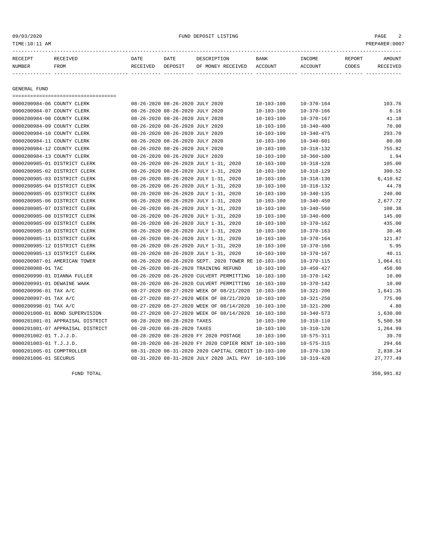### 09/03/2020 FUND DEPOSIT LISTING PAGE 2

| RECEIVED     | DATE                                                                                                                                               | DATE    | DESCRIPTION       | <b>BANK</b>                                                                                                                                                                 | INCOME           | REPORT | AMOUNT   |  |  |
|--------------|----------------------------------------------------------------------------------------------------------------------------------------------------|---------|-------------------|-----------------------------------------------------------------------------------------------------------------------------------------------------------------------------|------------------|--------|----------|--|--|
| FROM         | RECEIVED                                                                                                                                           | DEPOSIT | OF MONEY RECEIVED | ACCOUNT                                                                                                                                                                     | ACCOUNT          | CODES  | RECEIVED |  |  |
|              |                                                                                                                                                    |         |                   |                                                                                                                                                                             |                  |        |          |  |  |
|              |                                                                                                                                                    |         |                   |                                                                                                                                                                             |                  |        |          |  |  |
| GENERAL FUND |                                                                                                                                                    |         |                   |                                                                                                                                                                             |                  |        |          |  |  |
|              |                                                                                                                                                    |         |                   |                                                                                                                                                                             |                  |        |          |  |  |
|              |                                                                                                                                                    |         |                   | $10 - 103 - 100$                                                                                                                                                            | $10 - 370 - 164$ |        | 103.76   |  |  |
|              |                                                                                                                                                    |         |                   | $10 - 103 - 100$                                                                                                                                                            | $10 - 370 - 166$ |        | 6.16     |  |  |
|              |                                                                                                                                                    |         |                   | $10 - 103 - 100$                                                                                                                                                            | $10 - 370 - 167$ |        | 41.18    |  |  |
|              |                                                                                                                                                    |         |                   | $10 - 103 - 100$                                                                                                                                                            | $10 - 340 - 400$ |        | 70.00    |  |  |
|              |                                                                                                                                                    |         |                   | $10 - 103 - 100$                                                                                                                                                            | $10 - 340 - 475$ |        | 293.70   |  |  |
|              | 0000200984-06 COUNTY CLERK<br>0000200984-07 COUNTY CLERK<br>0000200984-08 COUNTY CLERK<br>0000200984-09 COUNTY CLERK<br>0000200984-10 COUNTY CLERK |         |                   | 08-26-2020 08-26-2020 JULY 2020<br>08-26-2020 08-26-2020 JULY 2020<br>08-26-2020 08-26-2020 JULY 2020<br>08-26-2020 08-26-2020 JULY 2020<br>08-26-2020 08-26-2020 JULY 2020 |                  |        |          |  |  |

| 0000200984-09 COUNTY CLERK   |                                  | 08-26-2020 08-26-2020 JULY 2020 |                                                      | $10 - 103 - 100$ | $10 - 340 - 400$ | 70.00      |
|------------------------------|----------------------------------|---------------------------------|------------------------------------------------------|------------------|------------------|------------|
| 0000200984-10 COUNTY CLERK   |                                  | 08-26-2020 08-26-2020 JULY 2020 |                                                      | 10-103-100       | $10 - 340 - 475$ | 293.70     |
| 0000200984-11 COUNTY CLERK   |                                  | 08-26-2020 08-26-2020 JULY 2020 |                                                      | $10 - 103 - 100$ | $10 - 340 - 601$ | 80.00      |
| 0000200984-12 COUNTY CLERK   |                                  | 08-26-2020 08-26-2020 JULY 2020 |                                                      | $10 - 103 - 100$ | $10 - 318 - 132$ | 755.82     |
| 0000200984-13 COUNTY CLERK   |                                  | 08-26-2020 08-26-2020 JULY 2020 |                                                      | $10 - 103 - 100$ | $10 - 360 - 100$ | 1.94       |
| 0000200985-01 DISTRICT CLERK |                                  |                                 | 08-26-2020 08-26-2020 JULY 1-31, 2020                | $10 - 103 - 100$ | $10 - 318 - 128$ | 105.00     |
| 0000200985-02 DISTRICT CLERK |                                  |                                 | 08-26-2020 08-26-2020 JULY 1-31, 2020                | $10 - 103 - 100$ | $10 - 318 - 129$ | 390.52     |
| 0000200985-03 DISTRICT CLERK |                                  |                                 | 08-26-2020 08-26-2020 JULY 1-31, 2020                | $10 - 103 - 100$ | $10 - 318 - 130$ | 6,410.62   |
| 0000200985-04 DISTRICT CLERK |                                  |                                 | 08-26-2020 08-26-2020 JULY 1-31, 2020                | $10 - 103 - 100$ | $10 - 318 - 132$ | 44.78      |
| 0000200985-05 DISTRICT CLERK |                                  |                                 | 08-26-2020 08-26-2020 JULY 1-31, 2020                | $10 - 103 - 100$ | $10 - 340 - 135$ | 240.00     |
| 0000200985-06 DISTRICT CLERK |                                  |                                 | 08-26-2020 08-26-2020 JULY 1-31, 2020                | $10 - 103 - 100$ | $10 - 340 - 450$ | 2,677.72   |
| 0000200985-07 DISTRICT CLERK |                                  |                                 | 08-26-2020 08-26-2020 JULY 1-31, 2020                | $10 - 103 - 100$ | $10 - 340 - 560$ | 108.38     |
| 0000200985-08 DISTRICT CLERK |                                  |                                 | 08-26-2020 08-26-2020 JULY 1-31, 2020                | $10 - 103 - 100$ | $10 - 340 - 600$ | 145.00     |
| 0000200985-09 DISTRICT CLERK |                                  |                                 | 08-26-2020 08-26-2020 JULY 1-31, 2020                | $10 - 103 - 100$ | $10 - 370 - 162$ | 435.00     |
| 0000200985-10 DISTRICT CLERK |                                  |                                 | 08-26-2020 08-26-2020 JULY 1-31, 2020                | 10-103-100       | $10 - 370 - 163$ | 30.46      |
| 0000200985-11 DISTRICT CLERK |                                  |                                 | 08-26-2020 08-26-2020 JULY 1-31, 2020                | 10-103-100       | $10 - 370 - 164$ | 121.87     |
| 0000200985-12 DISTRICT CLERK |                                  |                                 | 08-26-2020 08-26-2020 JULY 1-31, 2020                | 10-103-100       | $10 - 370 - 166$ | 5.95       |
| 0000200985-13 DISTRICT CLERK |                                  |                                 | 08-26-2020 08-26-2020 JULY 1-31, 2020                | $10 - 103 - 100$ | $10 - 370 - 167$ | 40.11      |
| 0000200987-01 AMERICAN TOWER |                                  |                                 | 08-26-2020 08-26-2020 SEPT. 2020 TOWER RE 10-103-100 |                  | $10 - 370 - 115$ | 1,064.61   |
| 0000200988-01 TAC            |                                  |                                 | 08-26-2020 08-26-2020 TRAINING REFUND                | $10 - 103 - 100$ | $10 - 450 - 427$ | 450.00     |
| 0000200990-01 DIANNA FULLER  |                                  |                                 | 08-26-2020 08-26-2020 CULVERT PERMITTING             | $10 - 103 - 100$ | $10 - 370 - 142$ | 10.00      |
| 0000200991-01 DEWAINE WAAK   |                                  |                                 | 08-26-2020 08-26-2020 CULVERT PERMITTING             | $10 - 103 - 100$ | $10 - 370 - 142$ | 10.00      |
| 0000200996-01 TAX A/C        |                                  |                                 | 08-27-2020 08-27-2020 WEEK OF 08/21/2020             | $10 - 103 - 100$ | $10 - 321 - 200$ | 1,641.35   |
| 0000200997-01 TAX A/C        |                                  |                                 | 08-27-2020 08-27-2020 WEEK OF 08/21/2020             | $10 - 103 - 100$ | $10 - 321 - 250$ | 775.00     |
| 0000200998-01 TAX A/C        |                                  |                                 | 08-27-2020 08-27-2020 WEEK OF 08/14/2020             | $10 - 103 - 100$ | $10 - 321 - 200$ | 4.80       |
|                              | 0000201000-01 BOND SUPERVISION   |                                 | 08-27-2020 08-27-2020 WEEK OF 08/14/2020             | $10 - 103 - 100$ | $10 - 340 - 573$ | 1,630.00   |
|                              | 0000201001-01 APPRAISAL DISTRICT | 08-28-2020 08-28-2020 TAXES     |                                                      | $10 - 103 - 100$ | $10 - 310 - 110$ | 5,500.58   |
|                              | 0000201001-07 APPRAISAL DISTRICT | 08-28-2020 08-28-2020 TAXES     |                                                      | $10 - 103 - 100$ | $10 - 310 - 120$ | 1,264.99   |
| 0000201002-01 T.J.J.D.       |                                  |                                 | 08-28-2020 08-28-2020 FY 2020 POSTAGE                | $10 - 103 - 100$ | $10 - 575 - 311$ | 39.70      |
| 0000201003-01 T.J.J.D.       |                                  |                                 | 08-28-2020 08-28-2020 FY 2020 COPIER RENT 10-103-100 |                  | $10 - 575 - 315$ | 294.66     |
| 0000201005-01 COMPTROLLER    |                                  |                                 | 08-31-2020 08-31-2020 2020 CAPITAL CREDIT 10-103-100 |                  | $10 - 370 - 130$ | 2,838.34   |
| 0000201006-01 SECURUS        |                                  |                                 | 08-31-2020 08-31-2020 JULY 2020 JAIL PAY 10-103-100  |                  | $10 - 319 - 420$ | 27, 777.49 |
|                              |                                  |                                 |                                                      |                  |                  |            |

FUND TOTAL 350,991.82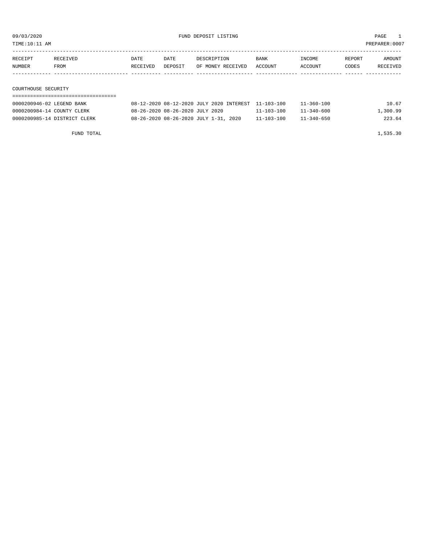TIME:10:11 AM PREPARER:0007

| RECEIPT             | RECEIVED | DATE     | DATE    | DESCRIPTION       | <b>BANK</b> | INCOME  | REPORT | AMOUNT   |
|---------------------|----------|----------|---------|-------------------|-------------|---------|--------|----------|
| NUMBER              | FROM     | RECEIVED | DEPOSIT | OF MONEY RECEIVED | ACCOUNT     | ACCOUNT | CODES  | RECEIVED |
|                     |          |          |         |                   |             |         |        |          |
|                     |          |          |         |                   |             |         |        |          |
| COURTHOUSE SECURITY |          |          |         |                   |             |         |        |          |

## ===================================

| 0000200946-02 LEGEND BANK    | 08-12-2020 08-12-2020 JULY 2020 INTEREST 11-103-100 |                  | $11 - 360 - 100$ | 10.67    |
|------------------------------|-----------------------------------------------------|------------------|------------------|----------|
| 0000200984-14 COUNTY CLERK   | 08-26-2020 08-26-2020 JULY 2020                     | $11 - 103 - 100$ | $11 - 340 - 600$ | 1,300.99 |
| 0000200985-14 DISTRICT CLERK | 08-26-2020 08-26-2020 JULY 1-31, 2020               | $11 - 103 - 100$ | $11 - 340 - 650$ | 223.64   |

FUND TOTAL 1,535.30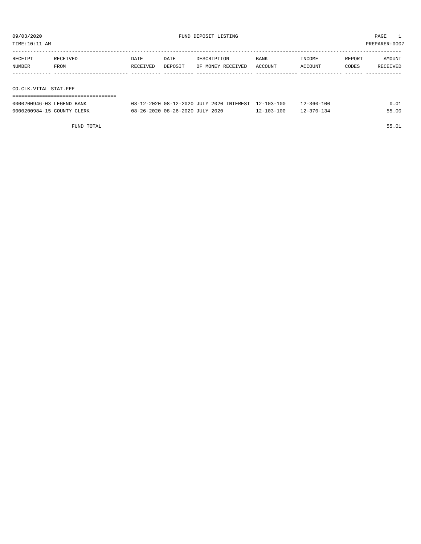TIME:10:11 AM PREPARER:0007

| RECEIPT               | RECEIVED | DATE     | DATE    | DESCRIPTION       | BANK    | INCOME  | REPORT | AMOUNT   |
|-----------------------|----------|----------|---------|-------------------|---------|---------|--------|----------|
| NUMBER                | FROM     | RECEIVED | DEPOSIT | OF MONEY RECEIVED | ACCOUNT | ACCOUNT | CODES  | RECEIVED |
|                       |          |          |         |                   |         |         |        |          |
|                       |          |          |         |                   |         |         |        |          |
| CO.CLK.VITAL STAT.FEE |          |          |         |                   |         |         |        |          |
|                       |          |          |         |                   |         |         |        |          |

| 0000200946-03 LEGEND BANK  | 08-12-2020 08-12-2020 JULY 2020 INTEREST 12-103-100 |                  | 12-360-100       | 0.01  |
|----------------------------|-----------------------------------------------------|------------------|------------------|-------|
| 0000200984-15 COUNTY CLERK | 08-26-2020 08-26-2020 JULY 2020                     | $12 - 103 - 100$ | $12 - 370 - 134$ | 55.00 |

FUND TOTAL 55.01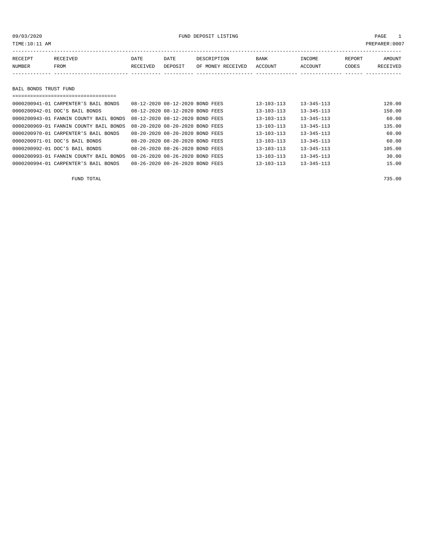| TIME:10:11 AM         |                                      |          |                                 |                   |                  |                  |        | PREPARER:0007 |
|-----------------------|--------------------------------------|----------|---------------------------------|-------------------|------------------|------------------|--------|---------------|
|                       |                                      |          |                                 |                   |                  |                  |        |               |
| RECEIPT               | RECEIVED                             | DATE     | DATE                            | DESCRIPTION       | <b>BANK</b>      | INCOME           | REPORT | AMOUNT        |
| NUMBER                | FROM                                 | RECEIVED | DEPOSIT                         | OF MONEY RECEIVED | ACCOUNT          | ACCOUNT          | CODES  | RECEIVED      |
|                       |                                      |          |                                 |                   |                  |                  |        |               |
|                       |                                      |          |                                 |                   |                  |                  |        |               |
| BAIL BONDS TRUST FUND |                                      |          |                                 |                   |                  |                  |        |               |
|                       |                                      |          |                                 |                   |                  |                  |        |               |
|                       | 0000200941-01 CARPENTER'S BAIL BONDS |          | 08-12-2020 08-12-2020 BOND FEES |                   | $13 - 103 - 113$ | $13 - 345 - 113$ |        | 120.00        |

| 0000200942-01 DOC'S BAIL BONDS         | 08-12-2020 08-12-2020 BOND FEES | $13 - 103 - 113$ | $13 - 345 - 113$ | 150.00 |
|----------------------------------------|---------------------------------|------------------|------------------|--------|
| 0000200943-01 FANNIN COUNTY BAIL BONDS | 08-12-2020 08-12-2020 BOND FEES | $13 - 103 - 113$ | $13 - 345 - 113$ | 60.00  |
| 0000200969-01 FANNIN COUNTY BAIL BONDS | 08-20-2020 08-20-2020 BOND FEES | $13 - 103 - 113$ | $13 - 345 - 113$ | 135.00 |
| 0000200970-01 CARPENTER'S BAIL BONDS   | 08-20-2020 08-20-2020 BOND FEES | $13 - 103 - 113$ | $13 - 345 - 113$ | 60.00  |
| 0000200971-01 DOC'S BAIL BONDS         | 08-20-2020 08-20-2020 BOND FEES | $13 - 103 - 113$ | $13 - 345 - 113$ | 60.00  |
| 0000200992-01 DOC'S BAIL BONDS         | 08-26-2020 08-26-2020 BOND FEES | $13 - 103 - 113$ | $13 - 345 - 113$ | 105.00 |
| 0000200993-01 FANNIN COUNTY BAIL BONDS | 08-26-2020 08-26-2020 BOND FEES | $13 - 103 - 113$ | $13 - 345 - 113$ | 30.00  |
| 0000200994-01 CARPENTER'S BAIL BONDS   | 08-26-2020 08-26-2020 BOND FEES | $13 - 103 - 113$ | $13 - 345 - 113$ | 15.00  |

FUND TOTAL 735.00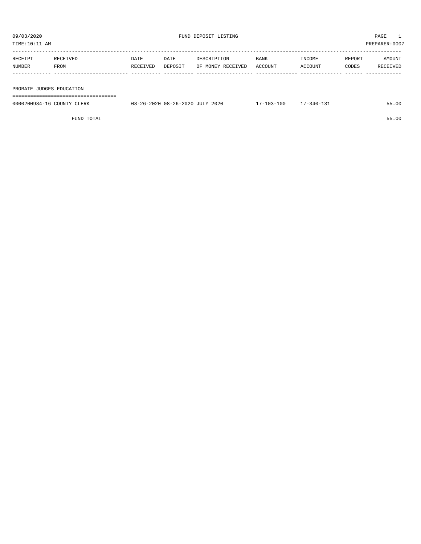| TIME:10:11 AM            |          |          |         |                   |             |         |        | PREPARER:0007 |
|--------------------------|----------|----------|---------|-------------------|-------------|---------|--------|---------------|
| RECEIPT                  | RECEIVED | DATE     | DATE    | DESCRIPTION       | <b>BANK</b> | INCOME  | REPORT | AMOUNT        |
| NUMBER                   | FROM     | RECEIVED | DEPOSIT | OF MONEY RECEIVED | ACCOUNT     | ACCOUNT | CODES  | RECEIVED      |
|                          |          |          |         |                   |             |         |        |               |
|                          |          |          |         |                   |             |         |        |               |
| PROBATE JUDGES EDUCATION |          |          |         |                   |             |         |        |               |

===================================

| 0000200984-16 COUNTY CLERK | 08-26-2020 08-26-2020 JULY 2020 | $17 - 103 - 100$ | $17 - 340 - 131$ | 55.00 |
|----------------------------|---------------------------------|------------------|------------------|-------|
|                            |                                 |                  |                  |       |

FUND TOTAL 55.00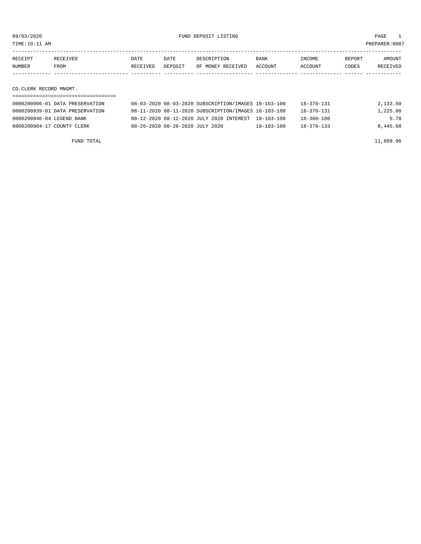TIME:10:11 AM PREPARER:0007

| RECEIPT | <b>RECEIVED</b> | DATE     | DATE    | DESCRIPTION       | <b>BANK</b>    | <b>INCOME</b> | REPORT | AMOUNT          |
|---------|-----------------|----------|---------|-------------------|----------------|---------------|--------|-----------------|
| NUMBER  | FROM            | RECEIVED | DEPOSIT | OF MONEY RECEIVED | <b>ACCOUNT</b> | ACCOUNT       | CODES  | <b>RECEIVED</b> |
|         |                 |          |         |                   |                |               |        |                 |

CO.CLERK RECORD MNGMT.

| 0000200906-01 DATA PRESERVATION | 08-03-2020 08-03-2020 SUBSCRIPTION/IMAGES 18-103-100 |                  | 18-370-131       | 2,133.50 |
|---------------------------------|------------------------------------------------------|------------------|------------------|----------|
| 0000200939-01 DATA PRESERVATION | 08-11-2020 08-11-2020 SUBSCRIPTION/IMAGES 18-103-100 |                  | 18-370-131       | 1,225.00 |
| 0000200946-04 LEGEND BANK       | 08-12-2020 08-12-2020 JULY 2020 INTEREST 18-103-100  |                  | $18 - 360 - 100$ | 5.78     |
| 0000200984-17 COUNTY CLERK      | 08-26-2020 08-26-2020 JULY 2020                      | $18 - 103 - 100$ | $18 - 370 - 133$ | 8,445.68 |

FUND TOTAL  $11,809.96$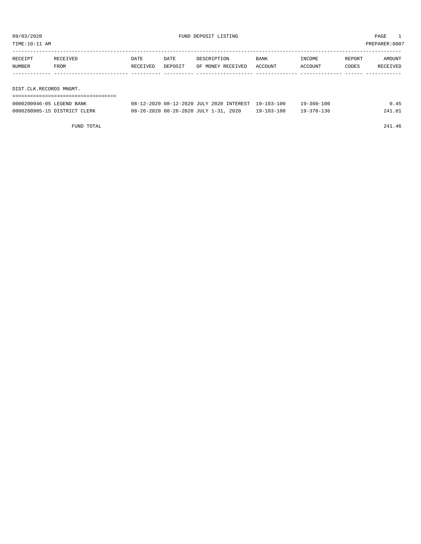TIME:10:11 AM PREPARER:0007

| RECEIPT                 | RECEIVED | DATE     | DATE    | DESCRIPTION       | <b>BANK</b> | INCOME  | REPORT | AMOUNT   |
|-------------------------|----------|----------|---------|-------------------|-------------|---------|--------|----------|
| NUMBER                  | FROM     | RECEIVED | DEPOSIT | OF MONEY RECEIVED | ACCOUNT     | ACCOUNT | CODES  | RECEIVED |
|                         |          |          |         |                   |             |         |        |          |
|                         |          |          |         |                   |             |         |        |          |
| DIST.CLK.RECORDS MNGMT. |          |          |         |                   |             |         |        |          |

| ==========================   |                                                     |            |                  |        |
|------------------------------|-----------------------------------------------------|------------|------------------|--------|
| 0000200946-05 LEGEND BANK    | 08-12-2020 08-12-2020 JULY 2020 INTEREST 19-103-100 |            | $19 - 360 - 100$ | 0.45   |
| 0000200985-15 DISTRICT CLERK | 08-26-2020 08-26-2020 JULY 1-31, 2020               | 19-103-100 | 19-370-136       | 241.01 |

FUND TOTAL 241.46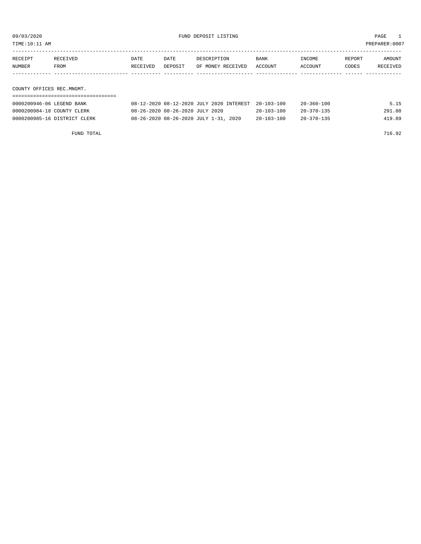09/03/2020 PAGE 1 PAGE 1 PAGE 1 PAGE 1 PAGE 1 PAGE 1 PAGE 1 PAGE 1 PAGE 1 PAGE 1 PAGE 1 PAGE 1 PAGE 1 PAGE 1 PAGE 1 PAGE 1 PAGE 1 PAGE 1 PAGE 1 PAGE 1 PAGE 1 PAGE 1 PAGE 1 PAGE 1 PAGE 1 PAGE 1 PAGE 1 PAGE 1 PAGE 1 PAGE 1 P

PREPARER:0007

| TIME:IU:II AM |  |  |  |
|---------------|--|--|--|
|               |  |  |  |

| RECEIPT                   | RECEIVED | DATE     | DATE    | DESCRIPTION       | BANK    | INCOME  | REPORT | AMOUNT   |
|---------------------------|----------|----------|---------|-------------------|---------|---------|--------|----------|
| NUMBER                    | FROM     | RECEIVED | DEPOSIT | OF MONEY RECEIVED | ACCOUNT | ACCOUNT | CODES  | RECEIVED |
|                           |          |          |         |                   |         |         |        |          |
|                           |          |          |         |                   |         |         |        |          |
| COUNTY OFFICES REC.MNGMT. |          |          |         |                   |         |         |        |          |

| 0000200946-06 LEGEND BANK    | 08-12-2020 08-12-2020 JULY 2020 INTEREST 20-103-100 |                  | 20-360-100       | 5.15   |
|------------------------------|-----------------------------------------------------|------------------|------------------|--------|
| 0000200984-18 COUNTY CLERK   | 08-26-2020 08-26-2020 JULY 2020                     | $20 - 103 - 100$ | $20 - 370 - 135$ | 291.88 |
| 0000200985-16 DISTRICT CLERK | 08-26-2020 08-26-2020 JULY 1-31, 2020               | $20 - 103 - 100$ | $20 - 370 - 135$ | 419.89 |

FUND TOTAL 716.92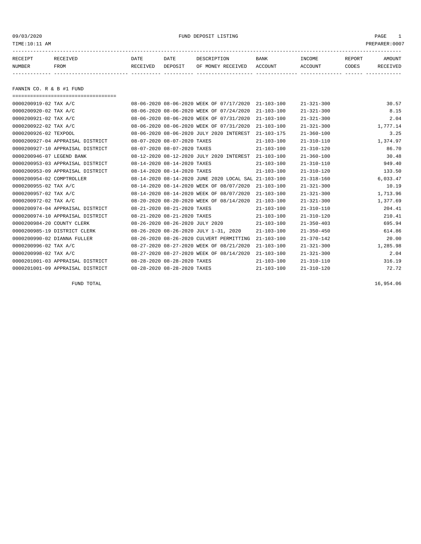09/03/2020 PUND DEPOSIT LISTING PAGE 1

| RECEIPT | <b>RECEIVED</b> | DATE     | DATE    | דידס דפר/פתח         | <b>BANK</b> | INCOME  | REPORT | AMOUNT          |
|---------|-----------------|----------|---------|----------------------|-------------|---------|--------|-----------------|
| NUMBER  | FROM            | RECEIVED | DEPOSIT | RECEIVED<br>OF MONEY | ACCOUNT     | ACCOUNT | CODES  | <b>RECEIVED</b> |
|         |                 |          |         |                      |             |         |        |                 |

FANNIN CO. R & B #1 FUND

| ==================================== |                                 |                                                      |                  |                  |          |
|--------------------------------------|---------------------------------|------------------------------------------------------|------------------|------------------|----------|
| 0000200919-02 TAX A/C                |                                 | 08-06-2020 08-06-2020 WEEK OF 07/17/2020             | $21 - 103 - 100$ | $21 - 321 - 300$ | 30.57    |
| 0000200920-02 TAX A/C                |                                 | 08-06-2020 08-06-2020 WEEK OF 07/24/2020             | $21 - 103 - 100$ | $21 - 321 - 300$ | 8.15     |
| 0000200921-02 TAX A/C                |                                 | 08-06-2020 08-06-2020 WEEK OF 07/31/2020             | $21 - 103 - 100$ | $21 - 321 - 300$ | 2.04     |
| 0000200922-02 TAX A/C                |                                 | 08-06-2020 08-06-2020 WEEK OF 07/31/2020             | $21 - 103 - 100$ | $21 - 321 - 300$ | 1,777.14 |
| 0000200926-02 TEXPOOL                |                                 | 08-06-2020 08-06-2020 JULY 2020 INTEREST             | $21 - 103 - 175$ | $21 - 360 - 100$ | 3.25     |
| 0000200927-04 APPRAISAL DISTRICT     | 08-07-2020 08-07-2020 TAXES     |                                                      | $21 - 103 - 100$ | $21 - 310 - 110$ | 1,374.97 |
| 0000200927-10 APPRAISAL DISTRICT     | 08-07-2020 08-07-2020 TAXES     |                                                      | $21 - 103 - 100$ | $21 - 310 - 120$ | 86.70    |
| 0000200946-07 LEGEND BANK            |                                 | 08-12-2020 08-12-2020 JULY 2020 INTEREST             | $21 - 103 - 100$ | $21 - 360 - 100$ | 30.48    |
| 0000200953-03 APPRAISAL DISTRICT     | 08-14-2020 08-14-2020 TAXES     |                                                      | $21 - 103 - 100$ | $21 - 310 - 110$ | 949.40   |
| 0000200953-09 APPRAISAL DISTRICT     | 08-14-2020 08-14-2020 TAXES     |                                                      | $21 - 103 - 100$ | $21 - 310 - 120$ | 133.50   |
| 0000200954-02 COMPTROLLER            |                                 | 08-14-2020 08-14-2020 JUNE 2020 LOCAL SAL 21-103-100 |                  | $21 - 318 - 160$ | 6,033.47 |
| 0000200955-02 TAX A/C                |                                 | 08-14-2020 08-14-2020 WEEK OF 08/07/2020             | $21 - 103 - 100$ | $21 - 321 - 300$ | 10.19    |
| 0000200957-02 TAX A/C                |                                 | 08-14-2020 08-14-2020 WEEK OF 08/07/2020             | $21 - 103 - 100$ | $21 - 321 - 300$ | 1,713.96 |
| 0000200972-02 TAX A/C                |                                 | 08-20-2020 08-20-2020 WEEK OF 08/14/2020             | $21 - 103 - 100$ | $21 - 321 - 300$ | 1,377.69 |
| 0000200974-04 APPRAISAL DISTRICT     | 08-21-2020 08-21-2020 TAXES     |                                                      | $21 - 103 - 100$ | $21 - 310 - 110$ | 204.41   |
| 0000200974-10 APPRAISAL DISTRICT     | 08-21-2020 08-21-2020 TAXES     |                                                      | $21 - 103 - 100$ | $21 - 310 - 120$ | 210.41   |
| 0000200984-20 COUNTY CLERK           | 08-26-2020 08-26-2020 JULY 2020 |                                                      | $21 - 103 - 100$ | $21 - 350 - 403$ | 695.94   |
| 0000200985-19 DISTRICT CLERK         |                                 | 08-26-2020 08-26-2020 JULY 1-31, 2020                | $21 - 103 - 100$ | $21 - 350 - 450$ | 614.86   |
| 0000200990-02 DIANNA FULLER          |                                 | 08-26-2020 08-26-2020 CULVERT PERMITTING             | $21 - 103 - 100$ | $21 - 370 - 142$ | 20.00    |
| 0000200996-02 TAX A/C                |                                 | 08-27-2020 08-27-2020 WEEK OF 08/21/2020             | $21 - 103 - 100$ | $21 - 321 - 300$ | 1,285.98 |
| 0000200998-02 TAX A/C                |                                 | 08-27-2020 08-27-2020 WEEK OF 08/14/2020             | $21 - 103 - 100$ | $21 - 321 - 300$ | 2.04     |
| 0000201001-03 APPRAISAL DISTRICT     | 08-28-2020 08-28-2020 TAXES     |                                                      | $21 - 103 - 100$ | $21 - 310 - 110$ | 316.19   |
| 0000201001-09 APPRAISAL DISTRICT     | 08-28-2020 08-28-2020 TAXES     |                                                      | $21 - 103 - 100$ | $21 - 310 - 120$ | 72.72    |

FUND TOTAL 16,954.06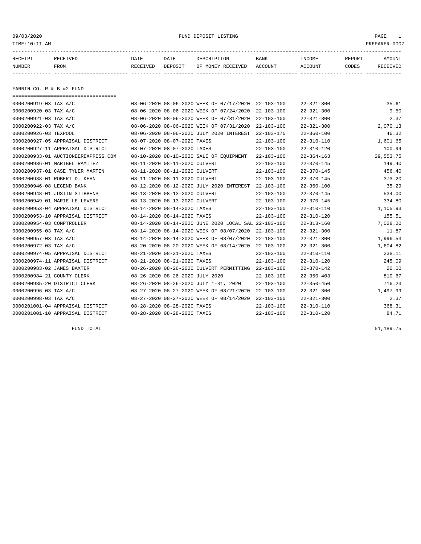09/03/2020 FUND DEPOSIT LISTING PAGE 1

| RECEIPT | <b>RECEIVED</b> | DATE     | DATE    | דידס דפר/פתח         | <b>BANK</b> | INCOME  | REPORT | AMOUNT          |
|---------|-----------------|----------|---------|----------------------|-------------|---------|--------|-----------------|
| NUMBER  | FROM            | RECEIVED | DEPOSIT | RECEIVED<br>OF MONEY | ACCOUNT     | ACCOUNT | CODES  | <b>RECEIVED</b> |
|         |                 |          |         |                      |             |         |        |                 |

FANNIN CO. R & B #2 FUND

| ===================================== |                                 |                                                      |                  |                  |           |
|---------------------------------------|---------------------------------|------------------------------------------------------|------------------|------------------|-----------|
| 0000200919-03 TAX A/C                 |                                 | 08-06-2020 08-06-2020 WEEK OF 07/17/2020             | $22 - 103 - 100$ | $22 - 321 - 300$ | 35.61     |
| 0000200920-03 TAX A/C                 |                                 | 08-06-2020 08-06-2020 WEEK OF 07/24/2020             | $22 - 103 - 100$ | $22 - 321 - 300$ | 9.50      |
| 0000200921-03 TAX A/C                 |                                 | 08-06-2020 08-06-2020 WEEK OF 07/31/2020             | $22 - 103 - 100$ | $22 - 321 - 300$ | 2.37      |
| 0000200922-03 TAX A/C                 |                                 | 08-06-2020 08-06-2020 WEEK OF 07/31/2020             | $22 - 103 - 100$ | $22 - 321 - 300$ | 2,070.13  |
| 0000200926-03 TEXPOOL                 |                                 | 08-06-2020 08-06-2020 JULY 2020 INTEREST             | $22 - 103 - 175$ | $22 - 360 - 100$ | 46.32     |
| 0000200927-05 APPRAISAL DISTRICT      | 08-07-2020 08-07-2020 TAXES     |                                                      | $22 - 103 - 100$ | $22 - 310 - 110$ | 1,601.65  |
| 0000200927-11 APPRAISAL DISTRICT      | 08-07-2020 08-07-2020 TAXES     |                                                      | $22 - 103 - 100$ | $22 - 310 - 120$ | 100.99    |
| 0000200933-01 AUCTIONEEREXPRESS.COM   |                                 | 08-10-2020 08-10-2020 SALE OF EQUIPMENT              | 22-103-100       | $22 - 364 - 163$ | 29,553.75 |
| 0000200936-01 MARIBEL RAMITEZ         | 08-11-2020 08-11-2020 CULVERT   |                                                      | $22 - 103 - 100$ | $22 - 370 - 145$ | 149.40    |
| 0000200937-01 CASE TYLER MARTIN       | 08-11-2020 08-11-2020 CULVERT   |                                                      | $22 - 103 - 100$ | $22 - 370 - 145$ | 456.40    |
| 0000200938-01 ROBERT D. KEHN          | 08-11-2020 08-11-2020 CULVERT   |                                                      | $22 - 103 - 100$ | $22 - 370 - 145$ | 373.20    |
| 0000200946-08 LEGEND BANK             |                                 | 08-12-2020 08-12-2020 JULY 2020 INTEREST             | $22 - 103 - 100$ | $22 - 360 - 100$ | 35.29     |
| 0000200948-01 JUSTIN STIBBENS         | 08-13-2020 08-13-2020 CULVERT   |                                                      | $22 - 103 - 100$ | $22 - 370 - 145$ | 534.00    |
| 0000200949-01 MARIE LE LEVERE         | 08-13-2020 08-13-2020 CULVERT   |                                                      | $22 - 103 - 100$ | $22 - 370 - 145$ | 334.80    |
| 0000200953-04 APPRAISAL DISTRICT      | 08-14-2020 08-14-2020 TAXES     |                                                      | $22 - 103 - 100$ | $22 - 310 - 110$ | 1,105.93  |
| 0000200953-10 APPRAISAL DISTRICT      | 08-14-2020 08-14-2020 TAXES     |                                                      | $22 - 103 - 100$ | $22 - 310 - 120$ | 155.51    |
| 0000200954-03 COMPTROLLER             |                                 | 08-14-2020 08-14-2020 JUNE 2020 LOCAL SAL 22-103-100 |                  | $22 - 318 - 160$ | 7,028.20  |
| 0000200955-03 TAX A/C                 |                                 | 08-14-2020 08-14-2020 WEEK OF 08/07/2020             | $22 - 103 - 100$ | $22 - 321 - 300$ | 11.87     |
| 0000200957-03 TAX A/C                 |                                 | 08-14-2020 08-14-2020 WEEK OF 08/07/2020             | $22 - 103 - 100$ | $22 - 321 - 300$ | 1,996.53  |
| 0000200972-03 TAX A/C                 |                                 | 08-20-2020 08-20-2020 WEEK OF 08/14/2020             | $22 - 103 - 100$ | $22 - 321 - 300$ | 1,604.82  |
| 0000200974-05 APPRAISAL DISTRICT      | 08-21-2020 08-21-2020 TAXES     |                                                      | $22 - 103 - 100$ | $22 - 310 - 110$ | 238.11    |
| 0000200974-11 APPRAISAL DISTRICT      | 08-21-2020 08-21-2020 TAXES     |                                                      | $22 - 103 - 100$ | $22 - 310 - 120$ | 245.09    |
| 0000200983-02 JAMES BAXTER            |                                 | 08-26-2020 08-26-2020 CULVERT PERMITTING             | $22 - 103 - 100$ | $22 - 370 - 142$ | 20.00     |
| 0000200984-21 COUNTY CLERK            | 08-26-2020 08-26-2020 JULY 2020 |                                                      | $22 - 103 - 100$ | $22 - 350 - 403$ | 810.67    |
| 0000200985-20 DISTRICT CLERK          |                                 | 08-26-2020 08-26-2020 JULY 1-31, 2020                | $22 - 103 - 100$ | $22 - 350 - 450$ | 716.23    |
| 0000200996-03 TAX A/C                 |                                 | 08-27-2020 08-27-2020 WEEK OF 08/21/2020             | $22 - 103 - 100$ | $22 - 321 - 300$ | 1,497.99  |
| 0000200998-03 TAX A/C                 |                                 | 08-27-2020 08-27-2020 WEEK OF 08/14/2020             | $22 - 103 - 100$ | $22 - 321 - 300$ | 2.37      |
| 0000201001-04 APPRAISAL DISTRICT      | 08-28-2020 08-28-2020 TAXES     |                                                      | $22 - 103 - 100$ | $22 - 310 - 110$ | 368.31    |
| 0000201001-10 APPRAISAL DISTRICT      | 08-28-2020 08-28-2020 TAXES     |                                                      | $22 - 103 - 100$ | $22 - 310 - 120$ | 84.71     |

FUND TOTAL  $51,189.75$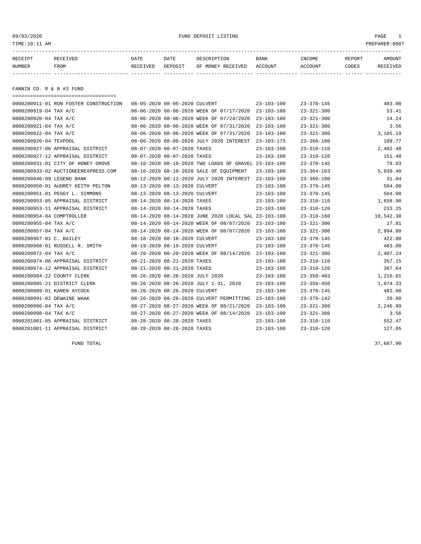#### 09/03/2020 PUND DEPOSIT LISTING PAGE 1

| RECEIPT | <b>RECEIVED</b> | DATE     | DATE    | דידס דפר/פתח         | <b>BANK</b> | INCOME  | REPORT | AMOUNT          |
|---------|-----------------|----------|---------|----------------------|-------------|---------|--------|-----------------|
| NUMBER  | FROM            | RECEIVED | DEPOSIT | RECEIVED<br>OF MONEY | ACCOUNT     | ACCOUNT | CODES  | <b>RECEIVED</b> |
|         |                 |          |         |                      |             |         |        |                 |

FANNIN CO. R & B #3 FUND

| ===================================== |                                 |                                                      |                  |                  |           |
|---------------------------------------|---------------------------------|------------------------------------------------------|------------------|------------------|-----------|
| 0000200911-01 RON FOSTER CONSTRUCTION | 08-05-2020 08-05-2020 CULVERT   |                                                      | $23 - 103 - 100$ | $23 - 370 - 145$ | 483.00    |
| 0000200919-04 TAX A/C                 |                                 | 08-06-2020 08-06-2020 WEEK OF 07/17/2020             | 23-103-100       | $23 - 321 - 300$ | 53.41     |
| 0000200920-04 TAX A/C                 |                                 | 08-06-2020 08-06-2020 WEEK OF 07/24/2020             | $23 - 103 - 100$ | $23 - 321 - 300$ | 14.24     |
| 0000200921-04 TAX A/C                 |                                 | 08-06-2020 08-06-2020 WEEK OF 07/31/2020             | $23 - 103 - 100$ | $23 - 321 - 300$ | 3.56      |
| 0000200922-04 TAX A/C                 |                                 | 08-06-2020 08-06-2020 WEEK OF 07/31/2020             | $23 - 103 - 100$ | $23 - 321 - 300$ | 3,105.19  |
| 0000200926-04 TEXPOOL                 |                                 | 08-06-2020 08-06-2020 JULY 2020 INTEREST             | $23 - 103 - 175$ | $23 - 360 - 100$ | 109.77    |
| 0000200927-06 APPRAISAL DISTRICT      | 08-07-2020 08-07-2020 TAXES     |                                                      | $23 - 103 - 100$ | $23 - 310 - 110$ | 2,402.48  |
| 0000200927-12 APPRAISAL DISTRICT      | 08-07-2020 08-07-2020 TAXES     |                                                      | $23 - 103 - 100$ | $23 - 310 - 120$ | 151.48    |
| 0000200931-01 CITY OF HONEY GROVE     |                                 | 08-10-2020 08-10-2020 TWO LOADS OF GRAVEL 23-103-100 |                  | $23 - 370 - 145$ | 78.03     |
| 0000200933-02 AUCTIONEEREXPRESS.COM   |                                 | 08-10-2020 08-10-2020 SALE OF EQUIPMENT              | $23 - 103 - 100$ | $23 - 364 - 163$ | 5,039.40  |
| 0000200946-09 LEGEND BANK             |                                 | 08-12-2020 08-12-2020 JULY 2020 INTEREST             | 23-103-100       | $23 - 360 - 100$ | 31.84     |
| 0000200950-01 AUDREY KEITH PELTON     | 08-13-2020 08-13-2020 CULVERT   |                                                      | $23 - 103 - 100$ | $23 - 370 - 145$ | 504.00    |
| 0000200951-01 PEGGY L. SIMMONS        | 08-13-2020 08-13-2020 CULVERT   |                                                      | $23 - 103 - 100$ | $23 - 370 - 145$ | 504.00    |
| 0000200953-05 APPRAISAL DISTRICT      | 08-14-2020 08-14-2020 TAXES     |                                                      | $23 - 103 - 100$ | $23 - 310 - 110$ | 1,658.90  |
| 0000200953-11 APPRAISAL DISTRICT      | 08-14-2020 08-14-2020 TAXES     |                                                      | $23 - 103 - 100$ | $23 - 310 - 120$ | 233.25    |
| 0000200954-04 COMPTROLLER             |                                 | 08-14-2020 08-14-2020 JUNE 2020 LOCAL SAL 23-103-100 |                  | $23 - 318 - 160$ | 10,542.30 |
| 0000200955-04 TAX A/C                 |                                 | 08-14-2020 08-14-2020 WEEK OF 08/07/2020             | 23-103-100       | $23 - 321 - 300$ | 17.81     |
| 0000200957-04 TAX A/C                 |                                 | 08-14-2020 08-14-2020 WEEK OF 08/07/2020             | $23 - 103 - 100$ | $23 - 321 - 300$ | 2,994.80  |
| 0000200967-01 C. BAILEY               | 08-18-2020 08-18-2020 CULVERT   |                                                      | $23 - 103 - 100$ | $23 - 370 - 145$ | 422.00    |
| 0000200968-01 RUSSELL R. SMITH        | 08-19-2020 08-19-2020 CULVERT   |                                                      | $23 - 103 - 100$ | $23 - 370 - 145$ | 483.00    |
| 0000200972-04 TAX A/C                 |                                 | 08-20-2020 08-20-2020 WEEK OF 08/14/2020 23-103-100  |                  | $23 - 321 - 300$ | 2,407.24  |
| 0000200974-06 APPRAISAL DISTRICT      | 08-21-2020 08-21-2020 TAXES     |                                                      | $23 - 103 - 100$ | $23 - 310 - 110$ | 357.15    |
| 0000200974-12 APPRAISAL DISTRICT      | 08-21-2020 08-21-2020 TAXES     |                                                      | $23 - 103 - 100$ | $23 - 310 - 120$ | 367.64    |
| 0000200984-22 COUNTY CLERK            | 08-26-2020 08-26-2020 JULY 2020 |                                                      | $23 - 103 - 100$ | $23 - 350 - 403$ | 1,216.01  |
| 0000200985-21 DISTRICT CLERK          |                                 | 08-26-2020 08-26-2020 JULY 1-31, 2020                | $23 - 103 - 100$ | $23 - 350 - 450$ | 1,074.33  |
| 0000200989-01 KAREN AYCOCK            | 08-26-2020 08-26-2020 CULVERT   |                                                      | $23 - 103 - 100$ | $23 - 370 - 145$ | 483.00    |
| 0000200991-02 DEWAINE WAAK            |                                 | 08-26-2020 08-26-2020 CULVERT PERMITTING             | 23-103-100       | $23 - 370 - 142$ | 20.00     |
| 0000200996-04 TAX A/C                 |                                 | 08-27-2020 08-27-2020 WEEK OF 08/21/2020             | $23 - 103 - 100$ | $23 - 321 - 300$ | 2,246.99  |
| 0000200998-04 TAX A/C                 |                                 | 08-27-2020 08-27-2020 WEEK OF 08/14/2020             | 23-103-100       | $23 - 321 - 300$ | 3.56      |
| 0000201001-05 APPRAISAL DISTRICT      | 08-28-2020 08-28-2020 TAXES     |                                                      | $23 - 103 - 100$ | $23 - 310 - 110$ | 552.47    |
| 0000201001-11 APPRAISAL DISTRICT      | 08-28-2020 08-28-2020 TAXES     |                                                      | $23 - 103 - 100$ | $23 - 310 - 120$ | 127.05    |

FUND TOTAL 37,687.90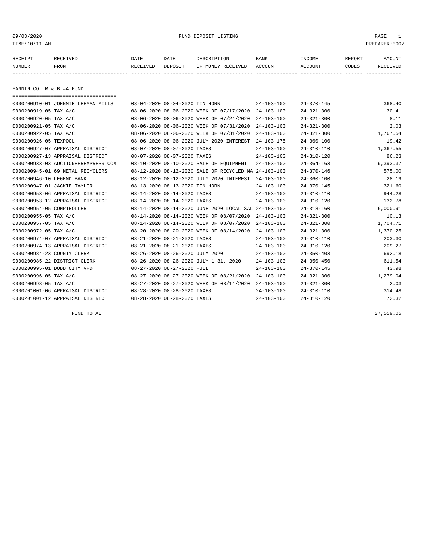09/03/2020 PUND DEPOSIT LISTING PAGE 1

| RECEIPT | RECEIVED | DATE     | DATE    | DESCRIPTION       | <b>BANK</b> | <b>INCOME</b> | <b>REPORT</b> | <b>AMOUNT</b>   |
|---------|----------|----------|---------|-------------------|-------------|---------------|---------------|-----------------|
| NUMBER  | FROM     | RECEIVED | DEPOSIT | OF MONEY RECEIVED | ACCOUNT     | ACCOUNT       | CODES         | <b>RECEIVED</b> |
|         |          |          |         |                   |             |               |               |                 |

FANNIN CO. R & B #4 FUND

|                              | ===================================== |                                |                                 |                                                      |                  |                  |          |
|------------------------------|---------------------------------------|--------------------------------|---------------------------------|------------------------------------------------------|------------------|------------------|----------|
|                              | 0000200910-01 JOHNNIE LEEMAN MILLS    | 08-04-2020 08-04-2020 TIN HORN |                                 |                                                      | $24 - 103 - 100$ | $24 - 370 - 145$ | 368.40   |
| 0000200919-05 TAX A/C        |                                       |                                |                                 | 08-06-2020 08-06-2020 WEEK OF 07/17/2020             | $24 - 103 - 100$ | $24 - 321 - 300$ | 30.41    |
| 0000200920-05 TAX A/C        |                                       |                                |                                 | 08-06-2020 08-06-2020 WEEK OF 07/24/2020             | $24 - 103 - 100$ | $24 - 321 - 300$ | 8.11     |
| 0000200921-05 TAX A/C        |                                       |                                |                                 | 08-06-2020 08-06-2020 WEEK OF 07/31/2020             | $24 - 103 - 100$ | $24 - 321 - 300$ | 2.03     |
| 0000200922-05 TAX A/C        |                                       |                                |                                 | 08-06-2020 08-06-2020 WEEK OF 07/31/2020             | $24 - 103 - 100$ | $24 - 321 - 300$ | 1,767.54 |
| 0000200926-05 TEXPOOL        |                                       |                                |                                 | 08-06-2020 08-06-2020 JULY 2020 INTEREST             | $24 - 103 - 175$ | $24 - 360 - 100$ | 19.42    |
|                              | 0000200927-07 APPRAISAL DISTRICT      | 08-07-2020 08-07-2020 TAXES    |                                 |                                                      | $24 - 103 - 100$ | $24 - 310 - 110$ | 1,367.55 |
|                              | 0000200927-13 APPRAISAL DISTRICT      |                                | 08-07-2020 08-07-2020 TAXES     |                                                      | $24 - 103 - 100$ | $24 - 310 - 120$ | 86.23    |
|                              | 0000200933-03 AUCTIONEEREXPRESS.COM   |                                |                                 | 08-10-2020 08-10-2020 SALE OF EOUIPMENT              | $24 - 103 - 100$ | $24 - 364 - 163$ | 9,393.37 |
|                              | 0000200945-01 69 METAL RECYCLERS      |                                |                                 | 08-12-2020 08-12-2020 SALE OF RECYCLED MA 24-103-100 |                  | $24 - 370 - 146$ | 575.00   |
| 0000200946-10 LEGEND BANK    |                                       |                                |                                 | 08-12-2020 08-12-2020 JULY 2020 INTEREST             | $24 - 103 - 100$ | $24 - 360 - 100$ | 28.19    |
| 0000200947-01 JACKIE TAYLOR  |                                       |                                | 08-13-2020 08-13-2020 TIN HORN  |                                                      | $24 - 103 - 100$ | $24 - 370 - 145$ | 321.60   |
|                              | 0000200953-06 APPRAISAL DISTRICT      | 08-14-2020 08-14-2020 TAXES    |                                 |                                                      | $24 - 103 - 100$ | $24 - 310 - 110$ | 944.28   |
|                              | 0000200953-12 APPRAISAL DISTRICT      | 08-14-2020 08-14-2020 TAXES    |                                 |                                                      | $24 - 103 - 100$ | $24 - 310 - 120$ | 132.78   |
| 0000200954-05 COMPTROLLER    |                                       |                                |                                 | 08-14-2020 08-14-2020 JUNE 2020 LOCAL SAL 24-103-100 |                  | $24 - 318 - 160$ | 6,000.91 |
| 0000200955-05 TAX A/C        |                                       |                                |                                 | 08-14-2020 08-14-2020 WEEK OF 08/07/2020             | $24 - 103 - 100$ | $24 - 321 - 300$ | 10.13    |
| 0000200957-05 TAX A/C        |                                       |                                |                                 | 08-14-2020 08-14-2020 WEEK OF 08/07/2020             | $24 - 103 - 100$ | $24 - 321 - 300$ | 1,704.71 |
| 0000200972-05 TAX A/C        |                                       |                                |                                 | 08-20-2020 08-20-2020 WEEK OF 08/14/2020             | $24 - 103 - 100$ | $24 - 321 - 300$ | 1,370.25 |
|                              | 0000200974-07 APPRAISAL DISTRICT      |                                | 08-21-2020 08-21-2020 TAXES     |                                                      | $24 - 103 - 100$ | $24 - 310 - 110$ | 203.30   |
|                              | 0000200974-13 APPRAISAL DISTRICT      | 08-21-2020 08-21-2020 TAXES    |                                 |                                                      | $24 - 103 - 100$ | $24 - 310 - 120$ | 209.27   |
| 0000200984-23 COUNTY CLERK   |                                       |                                | 08-26-2020 08-26-2020 JULY 2020 |                                                      | $24 - 103 - 100$ | $24 - 350 - 403$ | 692.18   |
| 0000200985-22 DISTRICT CLERK |                                       |                                |                                 | 08-26-2020 08-26-2020 JULY 1-31, 2020                | $24 - 103 - 100$ | $24 - 350 - 450$ | 611.54   |
| 0000200995-01 DODD CITY VFD  |                                       | 08-27-2020 08-27-2020 FUEL     |                                 |                                                      | $24 - 103 - 100$ | $24 - 370 - 145$ | 43.98    |
| 0000200996-05 TAX A/C        |                                       |                                |                                 | 08-27-2020 08-27-2020 WEEK OF 08/21/2020             | $24 - 103 - 100$ | $24 - 321 - 300$ | 1,279.04 |
| 0000200998-05 TAX A/C        |                                       |                                |                                 | 08-27-2020 08-27-2020 WEEK OF 08/14/2020             | $24 - 103 - 100$ | $24 - 321 - 300$ | 2.03     |
|                              | 0000201001-06 APPRAISAL DISTRICT      | 08-28-2020 08-28-2020 TAXES    |                                 |                                                      | $24 - 103 - 100$ | $24 - 310 - 110$ | 314.48   |
|                              | 0000201001-12 APPRAISAL DISTRICT      |                                | 08-28-2020 08-28-2020 TAXES     |                                                      | $24 - 103 - 100$ | $24 - 310 - 120$ | 72.32    |

FUND TOTAL 27,559.05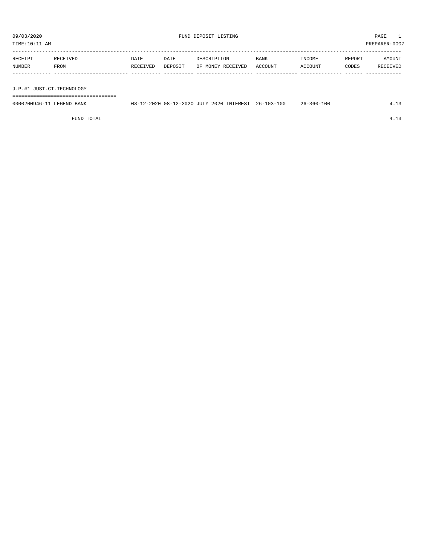TIME:10:11 AM PREPARER:0007

| RECEIPT                   | RECEIVED | DATE     | DATE    | DESCRIPTION       | BANK    | INCOME  | REPORT | AMOUNT   |
|---------------------------|----------|----------|---------|-------------------|---------|---------|--------|----------|
| NUMBER                    | FROM     | RECEIVED | DEPOSIT | OF MONEY RECEIVED | ACCOUNT | ACCOUNT | CODES  | RECEIVED |
|                           |          |          |         |                   |         |         |        |          |
|                           |          |          |         |                   |         |         |        |          |
| J.P.#1 JUST.CT.TECHNOLOGY |          |          |         |                   |         |         |        |          |

===================================

| 0000200946-11 LEGEND BANK | 08-12-2020 08-12-2020 JULY 2020 INTEREST 26-103-100 | $26 - 360 - 100$ |  |
|---------------------------|-----------------------------------------------------|------------------|--|
|                           |                                                     |                  |  |

FUND TOTAL 4.13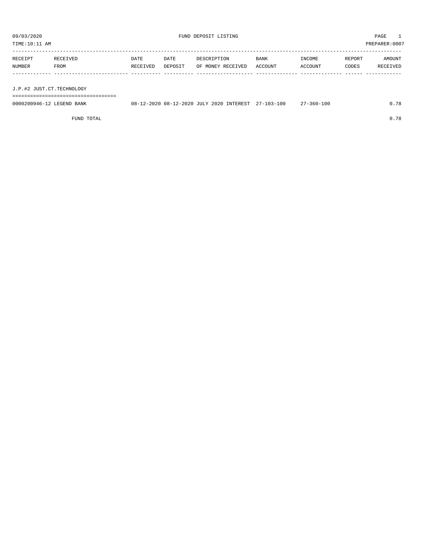TIME:10:11 AM PREPARER:0007

| RECEIPT | RECEIVED | DATE     | DATE    | DESCRIPTION       | BANK    | INCOME  | REPORT | AMOUNT   |
|---------|----------|----------|---------|-------------------|---------|---------|--------|----------|
| NUMBER  | FROM     | RECEIVED | DEPOSIT | OF MONEY RECEIVED | ACCOUNT | ACCOUNT | CODES  | RECEIVED |
|         |          |          |         |                   |         |         |        |          |
|         |          |          |         |                   |         |         |        |          |

J.P.#2 JUST.CT.TECHNOLOGY

===================================

| 0000200946-12 LEGEND BANK | 08-12-2020 08-12-2020 JULY 2020 INTEREST 27-103-100 |  |  | $27 - 360 - 100$ | 0.78 |
|---------------------------|-----------------------------------------------------|--|--|------------------|------|
|                           |                                                     |  |  |                  |      |

FUND TOTAL 0.78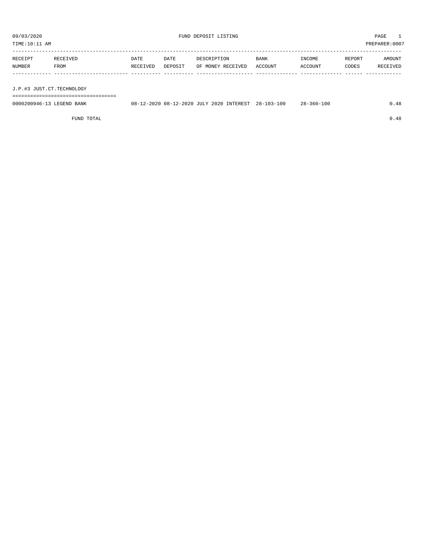| PREPARER: 0007<br>TIME:10:11 AM |          |          |         |                   |         |         |        |               |  |
|---------------------------------|----------|----------|---------|-------------------|---------|---------|--------|---------------|--|
|                                 |          |          |         |                   |         |         |        |               |  |
| RECEIPT                         | RECEIVED | DATE     | DATE    | DESCRIPTION       | BANK    | INCOME  | REPORT | <b>AMOUNT</b> |  |
| NUMBER                          | FROM     | RECEIVED | DEPOSIT | OF MONEY RECEIVED | ACCOUNT | ACCOUNT | CODES  | RECEIVED      |  |
|                                 |          |          |         |                   |         |         |        |               |  |
|                                 |          |          |         |                   |         |         |        |               |  |

J.P.#3 JUST.CT.TECHNOLOGY

===================================

| 0000200946-13<br>LEGEND<br>BANK | 08-12-2020 08-12-2020 JULY 2020 INTEREST 28-103-100 | $28 - 360 - 100$ |  |
|---------------------------------|-----------------------------------------------------|------------------|--|
|                                 |                                                     |                  |  |

FUND TOTAL  $0.48$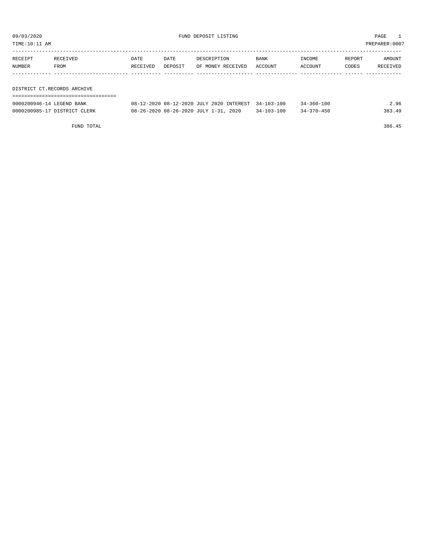TIME:10:11 AM PREPARER:0007

| DATE | DATE     | DESCRIPTION | BANK | INCOME                    | REPORT | AMOUNT   |
|------|----------|-------------|------|---------------------------|--------|----------|
|      | DEPOSIT  |             |      | ACCOUNT                   | CODES  | RECEIVED |
|      |          |             |      |                           |        |          |
|      |          |             |      |                           |        |          |
|      | RECEIVED | RECEIVED    |      | OF MONEY RECEIVED ACCOUNT |        |          |

DISTRICT CT.RECORDS ARCHIVE ===================================

| 0000200946-14 LEGEND BANK    | 08-12-2020 08-12-2020 JULY 2020 INTEREST 34-103-100 |                  | 34-360-100       | 2.96   |
|------------------------------|-----------------------------------------------------|------------------|------------------|--------|
| 0000200985-17 DISTRICT CLERK | 08-26-2020 08-26-2020 JULY 1-31, 2020               | $34 - 103 - 100$ | $34 - 370 - 450$ | 383.49 |

FUND TOTAL 386.45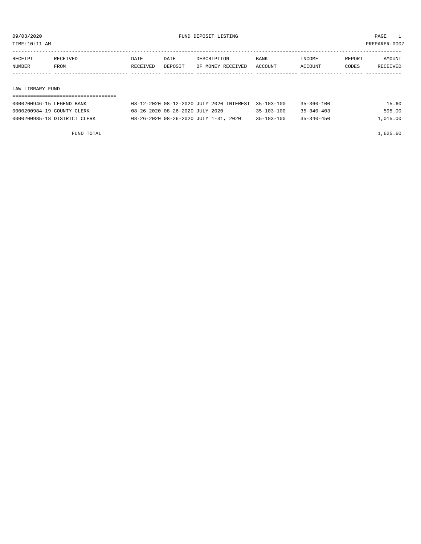| TIME:10:11 AM<br>PREPARER:0007 |             |          |         |                   |             |                |        |          |  |
|--------------------------------|-------------|----------|---------|-------------------|-------------|----------------|--------|----------|--|
| RECEIPT                        | RECEIVED    | DATE     | DATE    | DESCRIPTION       | <b>BANK</b> | INCOME         | REPORT | AMOUNT   |  |
| <b>NUMBER</b>                  | <b>FROM</b> | RECEIVED | DEPOSIT | OF MONEY RECEIVED | ACCOUNT     | <b>ACCOUNT</b> | CODES  | RECEIVED |  |
|                                |             |          |         |                   |             |                |        |          |  |

| LAW LIBRARY FUND             |                                                     |                  |                  |          |
|------------------------------|-----------------------------------------------------|------------------|------------------|----------|
|                              |                                                     |                  |                  |          |
| 0000200946-15 LEGEND BANK    | 08-12-2020 08-12-2020 JULY 2020 INTEREST 35-103-100 |                  | 35-360-100       | 15.60    |
| 0000200984-19 COUNTY CLERK   | 08-26-2020 08-26-2020 JULY 2020                     | $35 - 103 - 100$ | $35 - 340 - 403$ | 595.00   |
| 0000200985-18 DISTRICT CLERK | 08-26-2020 08-26-2020 JULY 1-31, 2020               | $35 - 103 - 100$ | $35 - 340 - 450$ | 1,015.00 |
|                              |                                                     |                  |                  |          |
|                              |                                                     |                  |                  |          |

FUND TOTAL 1,625.60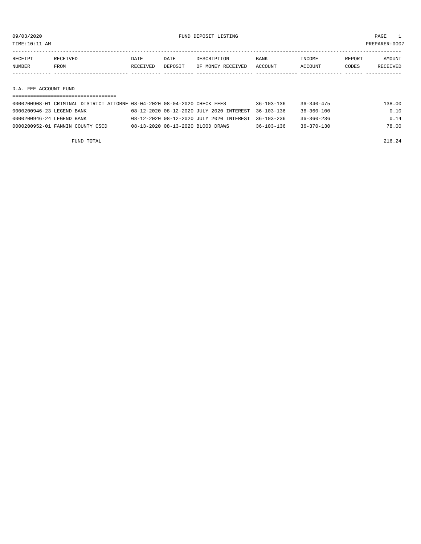09/03/2020 FUND DEPOSIT LISTING PAGE 1

| RECEIPT | <b>RECEIVED</b> | DATE     | DATE    | DESCRIPTION       | <b>BANK</b> | <b>TNCOME</b>  | <b>REPORT</b> | AMOUNT   |
|---------|-----------------|----------|---------|-------------------|-------------|----------------|---------------|----------|
| NUMBER  | FROM            | RECEIVED | DEPOSIT | OF MONEY RECEIVED | ACCOUNT     | <b>ACCOUNT</b> | CODES         | RECEIVED |
|         |                 |          |         |                   |             |                |               |          |

D.A. FEE ACCOUNT FUND

|                           | 0000200908-01 CRIMINAL DISTRICT ATTORNE 08-04-2020 08-04-2020 CHECK FEES |                                   |                                                     | $36 - 103 - 136$ | 36-340-475       | 138.00 |
|---------------------------|--------------------------------------------------------------------------|-----------------------------------|-----------------------------------------------------|------------------|------------------|--------|
| 0000200946-23 LEGEND BANK |                                                                          |                                   | 08-12-2020 08-12-2020 JULY 2020 INTEREST 36-103-136 |                  | 36-360-100       | 0.10   |
| 0000200946-24 LEGEND BANK |                                                                          |                                   | 08-12-2020 08-12-2020 JULY 2020 INTEREST 36-103-236 |                  | 36-360-236       | 0.14   |
|                           | 0000200952-01 FANNIN COUNTY CSCD                                         | 08-13-2020 08-13-2020 BLOOD DRAWS |                                                     | $36 - 103 - 136$ | $36 - 370 - 130$ | 78.00  |

FUND TOTAL  $216.24$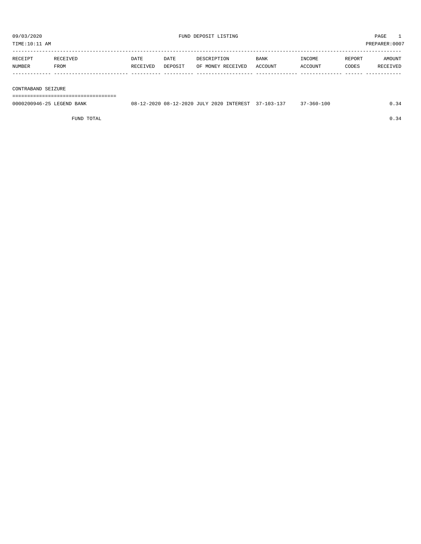| RECEIPT | RECEIVED | DATE     | DATE    | DESCRIPTION       | <b>BANK</b> | INCOME  | REPORT | AMOUNT          |
|---------|----------|----------|---------|-------------------|-------------|---------|--------|-----------------|
| NUMBER  | FROM     | RECEIVED | DEPOSIT | OF MONEY RECEIVED | ACCOUNT     | ACCOUNT | CODES  | <b>RECEIVED</b> |
|         |          |          |         |                   |             |         |        |                 |
|         |          |          |         |                   |             |         |        |                 |

#### CONTRABAND SEIZURE

===================================

| 0000200946-25 LEGEND BANK | 08-12-2020 08-12-2020 JULY 2020 INTEREST 37-103-137 |  | $37 - 360 - 100$ |  |
|---------------------------|-----------------------------------------------------|--|------------------|--|
|                           |                                                     |  |                  |  |

FUND TOTAL  $0.34$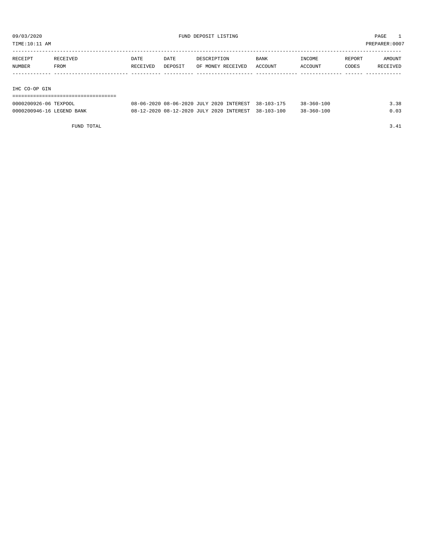TIME:10:11 AM PREPARER:0007

| RECEIPT | RECEIVED | DATE     | DATE    | DESCRIPTION       | <b>BANK</b> | INCOME  | REPORT | AMOUNT   |
|---------|----------|----------|---------|-------------------|-------------|---------|--------|----------|
| NUMBER  | FROM     | RECEIVED | DEPOSIT | OF MONEY RECEIVED | ACCOUNT     | ACCOUNT | CODES  | RECEIVED |
|         |          |          |         |                   |             |         |        |          |
|         |          |          |         |                   |             |         |        |          |

IHC CO-OP GIN

| 0000200926-06 TEXPOOL | 08-06-2020 08-06-2020 JULY 2020 INTEREST |  | $38 - 103$ |
|-----------------------|------------------------------------------|--|------------|

| 0000200926-06 TEXPOOL     | 08-06-2020 08-06-2020 JULY 2020 INTEREST 38-103-175 | $38 - 360 - 100$ | 3.38 |
|---------------------------|-----------------------------------------------------|------------------|------|
| 0000200946-16 LEGEND BANK | 08-12-2020 08-12-2020 JULY 2020 INTEREST 38-103-100 | $38 - 360 - 100$ | 0.03 |

FUND TOTAL 3.41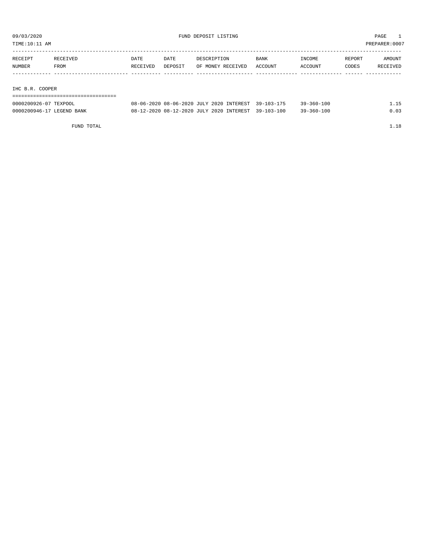TIME:10:11 AM PREPARER:0007

| RECEIPT | RECEIVED | DATE     | DATE    | DESCRIPTION       | <b>BANK</b> | INCOME  | REPORT | AMOUNT   |
|---------|----------|----------|---------|-------------------|-------------|---------|--------|----------|
| NUMBER  | FROM     | RECEIVED | DEPOSIT | OF MONEY RECEIVED | ACCOUNT     | ACCOUNT | CODES  | RECEIVED |
|         |          |          |         |                   |             |         |        |          |
|         |          |          |         |                   |             |         |        |          |

IHC B.R. COOPER

| -------------------------------------<br>-------------------------------- |                       |             |
|---------------------------------------------------------------------------|-----------------------|-------------|
| aaaaaaaaac am<br><b>TEVDOOT</b><br>. .                                    | 00 06 2020 00 06 2020 | <b>TTTT</b> |

| 0000200926-07 TEXPOOL     | 08-06-2020 08-06-2020 JULY 2020 INTEREST 39-103-175 | $39 - 360 - 100$ | 1.15 |
|---------------------------|-----------------------------------------------------|------------------|------|
| 0000200946-17 LEGEND BANK | 08-12-2020 08-12-2020 JULY 2020 INTEREST 39-103-100 | $39 - 360 - 100$ | 0.03 |

FUND TOTAL  $1.18$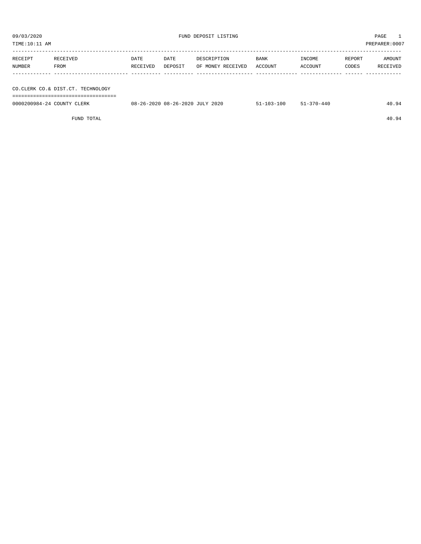| TIME:10:11 AM |                                      |          |         |                   |             | PREPARER:0007 |        |          |
|---------------|--------------------------------------|----------|---------|-------------------|-------------|---------------|--------|----------|
| RECEIPT       | RECEIVED                             | DATE     | DATE    | DESCRIPTION       | <b>BANK</b> | INCOME        | REPORT | AMOUNT   |
| NUMBER        | FROM                                 | RECEIVED | DEPOSIT | OF MONEY RECEIVED | ACCOUNT     | ACCOUNT       | CODES  | RECEIVED |
|               |                                      |          |         |                   |             |               |        |          |
|               | CO. CLERK CO. & DIST. CT. TECHNOLOGY |          |         |                   |             |               |        |          |

===================================

| 0000200984-24<br>$\cdot$ of TNT $\mathbb{T}^{n \times n}$<br>CLERK | 2020<br>08.<br>08-26-2020<br>$\sqrt{2}$<br>. | ⊥00 | -440<br>. |  |
|--------------------------------------------------------------------|----------------------------------------------|-----|-----------|--|
|                                                                    |                                              |     |           |  |

FUND TOTAL 40.94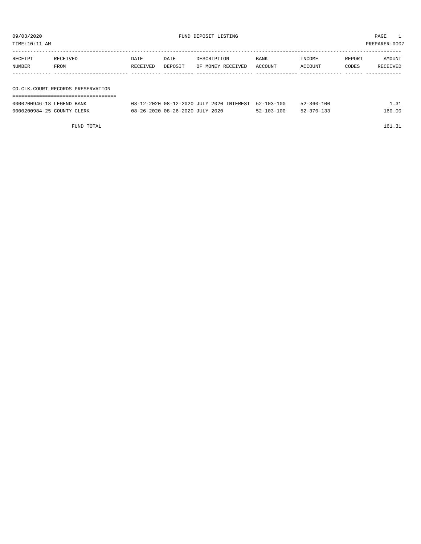| TIME:10:11 AM |                                   |          |         |                   |         | PREPARER:0007 |        |          |  |  |
|---------------|-----------------------------------|----------|---------|-------------------|---------|---------------|--------|----------|--|--|
| RECEIPT       | RECEIVED                          | DATE     | DATE    | DESCRIPTION       | BANK    | INCOME        | REPORT | AMOUNT   |  |  |
| NUMBER        | FROM                              | RECEIVED | DEPOSIT | OF MONEY RECEIVED | ACCOUNT | ACCOUNT       | CODES  | RECEIVED |  |  |
|               |                                   |          |         |                   |         |               |        |          |  |  |
|               | CO.CLK.COURT RECORDS PRESERVATION |          |         |                   |         |               |        |          |  |  |
|               |                                   |          |         |                   |         |               |        |          |  |  |

| 0000200946-18 LEGEND BANK  | 08-12-2020 08-12-2020 JULY 2020 INTEREST 52-103-100 |                  | $52 - 360 - 100$ | ⊥.31   |
|----------------------------|-----------------------------------------------------|------------------|------------------|--------|
| 0000200984-25 COUNTY CLERK | 08-26-2020 08-26-2020 JULY 2020                     | $52 - 103 - 100$ | $52 - 370 - 133$ | 160.00 |

FUND TOTAL 161.31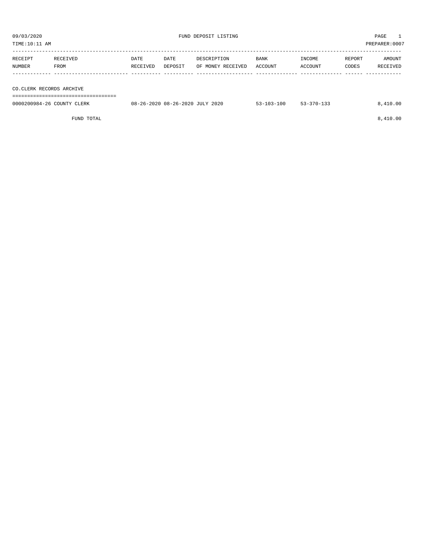| RECEIPT                  | RECEIVED | DATE     | DATE    | DESCRIPTION       | <b>BANK</b> | INCOME  | REPORT | AMOUNT   |
|--------------------------|----------|----------|---------|-------------------|-------------|---------|--------|----------|
| NUMBER                   | FROM     | RECEIVED | DEPOSIT | OF MONEY RECEIVED | ACCOUNT     | ACCOUNT | CODES  | RECEIVED |
|                          |          |          |         |                   |             |         |        |          |
|                          |          |          |         |                   |             |         |        |          |
| CO.CLERK RECORDS ARCHIVE |          |          |         |                   |             |         |        |          |
|                          |          |          |         |                   |             |         |        |          |

| _______________________    |                                 |            |            |          |
|----------------------------|---------------------------------|------------|------------|----------|
| 0000200984-26 COUNTY CLERK | 08-26-2020 08-26-2020 JULY 2020 | 53-103-100 | 53-370-133 | 8.410.00 |
|                            |                                 |            |            |          |

FUND TOTAL  $8,410.00$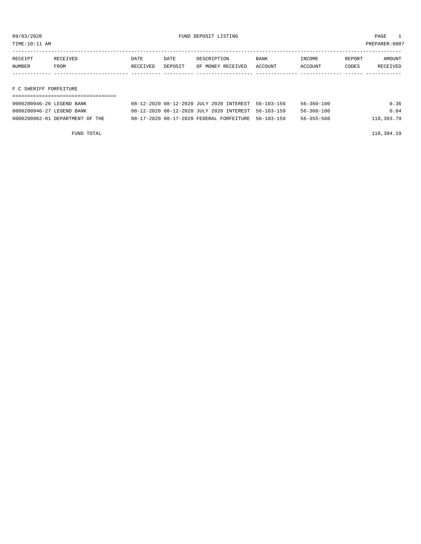TIME:10:11 AM PREPARER:0007

| RECEIPT | RECEIVED | DATE     | DATE    | DESCRIPTION       | <b>BANK</b> | INCOME         | REPORT | AMOUNT   |
|---------|----------|----------|---------|-------------------|-------------|----------------|--------|----------|
| NUMBER  | FROM     | RECEIVED | DEPOSIT | OF MONEY RECEIVED | ACCOUNT     | <b>ACCOUNT</b> | CODES  | RECEIVED |
|         |          |          |         |                   |             |                |        |          |

#### F C SHERIFF FORFEITURE

| 0000200946-26 LEGEND BANK       | 08-12-2020 08-12-2020 JULY 2020 INTEREST 56-103-156 | 56-360-100       | 0.36       |
|---------------------------------|-----------------------------------------------------|------------------|------------|
| 0000200946-27 LEGEND BANK       | 08-12-2020 08-12-2020 JULY 2020 INTEREST 56-103-159 | $56 - 360 - 100$ | 0.04       |
| 0000200962-01 DEPARTMENT OF THE | 08-17-2020 08-17-2020 FEDERAL FORFEITURE 56-103-159 | $56 - 355 - 560$ | 118,393.79 |

FUND TOTAL 118,394.19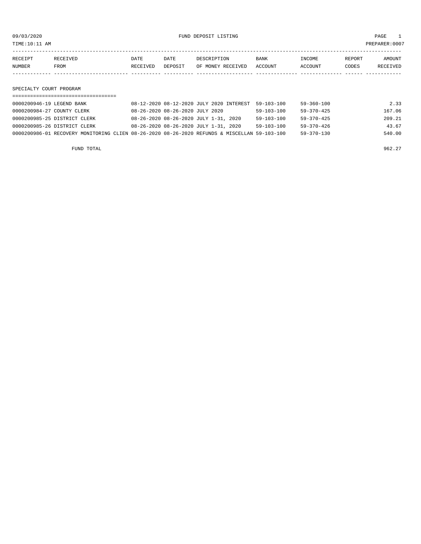09/03/2020 FUND DEPOSIT LISTING PAGE 1

| RECEIPT | RECEIVED | DATE     | DATE    | DESCRIPTION               | BANK | INCOME  | REPORT | AMOUNT   |
|---------|----------|----------|---------|---------------------------|------|---------|--------|----------|
| NUMBER  | FROM     | RECEIVED | DEPOSIT | OF MONEY RECEIVED ACCOUNT |      | ACCOUNT | CODES  | RECEIVED |
|         |          |          |         |                           |      |         |        |          |

SPECIALTY COURT PROGRAM

| 0000200946-19 LEGEND BANK                                                                    | 08-12-2020 08-12-2020 JULY 2020 INTEREST | $59 - 103 - 100$ | 59-360-100       | 2.33   |
|----------------------------------------------------------------------------------------------|------------------------------------------|------------------|------------------|--------|
| 0000200984-27 COUNTY CLERK                                                                   | 08-26-2020 08-26-2020 JULY 2020          | $59 - 103 - 100$ | $59 - 370 - 425$ | 167.06 |
| 0000200985-25 DISTRICT CLERK                                                                 | 08-26-2020 08-26-2020 JULY 1-31, 2020    | $59 - 103 - 100$ | $59 - 370 - 425$ | 209.21 |
| 0000200985-26 DISTRICT CLERK                                                                 | 08-26-2020 08-26-2020 JULY 1-31, 2020    | $59 - 103 - 100$ | $59 - 370 - 426$ | 43.67  |
| 0000200986-01 RECOVERY MONITORING CLIEN 08-26-2020 08-26-2020 REFUNDS & MISCELLAN 59-103-100 |                                          |                  | $59 - 370 - 130$ | 540.00 |

FUND TOTAL  $962.27$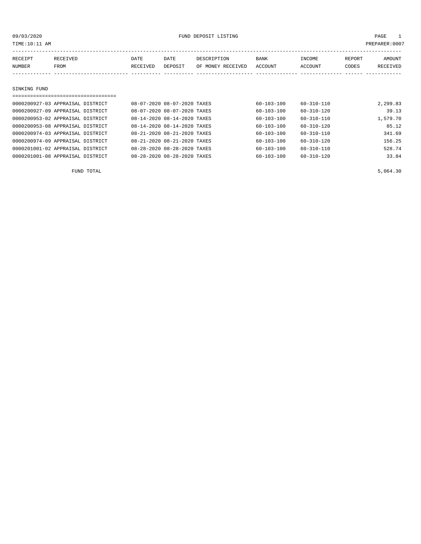### 09/03/2020 FUND DEPOSIT LISTING PAGE 1

| RECEIPT      | RECEIVED | <b>DATE</b> | DATE    | DESCRIPTION       | BANK    | INCOME  | REPORT | AMOUNT   |
|--------------|----------|-------------|---------|-------------------|---------|---------|--------|----------|
| NUMBER       | FROM     | RECEIVED    | DEPOSIT | OF MONEY RECEIVED | ACCOUNT | ACCOUNT | CODES  | RECEIVED |
|              |          |             |         |                   |         |         |        |          |
|              |          |             |         |                   |         |         |        |          |
|              |          |             |         |                   |         |         |        |          |
| SINKING FUND |          |             |         |                   |         |         |        |          |

| ------------------------------   |  |                             |                  |                  |          |
|----------------------------------|--|-----------------------------|------------------|------------------|----------|
| 0000200927-03 APPRAISAL DISTRICT |  | 08-07-2020 08-07-2020 TAXES | $60 - 103 - 100$ | $60 - 310 - 110$ | 2,299.83 |
| 0000200927-09 APPRAISAL DISTRICT |  | 08-07-2020 08-07-2020 TAXES | $60 - 103 - 100$ | $60 - 310 - 120$ | 39.13    |
| 0000200953-02 APPRAISAL DISTRICT |  | 08-14-2020 08-14-2020 TAXES | $60 - 103 - 100$ | $60 - 310 - 110$ | 1,579.70 |
| 0000200953-08 APPRAISAL DISTRICT |  | 08-14-2020 08-14-2020 TAXES | $60 - 103 - 100$ | $60 - 310 - 120$ | 85.12    |
| 0000200974-03 APPRAISAL DISTRICT |  | 08-21-2020 08-21-2020 TAXES | $60 - 103 - 100$ | $60 - 310 - 110$ | 341.69   |
| 0000200974-09 APPRAISAL DISTRICT |  | 08-21-2020 08-21-2020 TAXES | $60 - 103 - 100$ | $60 - 310 - 120$ | 156.25   |
| 0000201001-02 APPRAISAL DISTRICT |  | 08-28-2020 08-28-2020 TAXES | $60 - 103 - 100$ | $60 - 310 - 110$ | 528.74   |
| 0000201001-08 APPRAISAL DISTRICT |  | 08-28-2020 08-28-2020 TAXES | $60 - 103 - 100$ | $60 - 310 - 120$ | 33.84    |

FUND TOTAL  $5,064.30$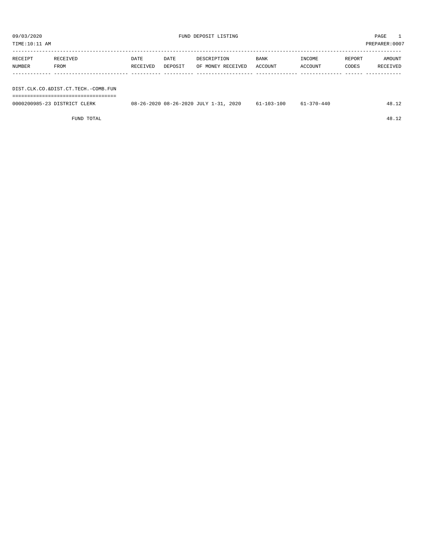| TIME:10:11 AM<br>PREPARER: 0007     |             |          |         |                   |         |         |        |          |
|-------------------------------------|-------------|----------|---------|-------------------|---------|---------|--------|----------|
|                                     |             |          |         |                   |         |         |        |          |
| RECEIPT                             | RECEIVED    | DATE     | DATE    | DESCRIPTION       | BANK    | INCOME  | REPORT | AMOUNT   |
| NUMBER                              | <b>FROM</b> | RECEIVED | DEPOSIT | OF MONEY RECEIVED | ACCOUNT | ACCOUNT | CODES  | RECEIVED |
|                                     |             |          |         |                   |         |         |        |          |
| DIST.CLK.CO.&DIST.CT.TECH.-COMB.FUN |             |          |         |                   |         |         |        |          |

| -------------------------------------<br>---------------------------------<br>___ |                                                                                                                                                          |    |         |
|-----------------------------------------------------------------------------------|----------------------------------------------------------------------------------------------------------------------------------------------------------|----|---------|
| 0000200985<br>LERK                                                                | 2020<br>2020.<br>08-<br>$08 - 26 - 2$<br>・ソトー<br>.<br>,,,,,,<br>$-1$<br>,我们就是一个人的人,我们就是一个人的人,我们就是一个人的人,我们就是一个人的人,我们就是一个人的人,我们就是一个人的人,我们就是一个人的人,我们就是一个人的人 | ΩO | <b></b> |

FUND TOTAL 48.12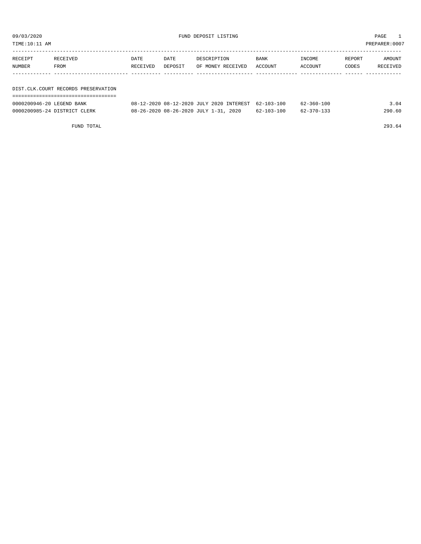TIME:10:11 AM PREPARER:0007

| RECEIPT | RECEIVED                              | DATE     | DATE    | DESCRIPTION       | BANK    | INCOME  | REPORT | AMOUNT   |
|---------|---------------------------------------|----------|---------|-------------------|---------|---------|--------|----------|
| NUMBER  | FROM                                  | RECEIVED | DEPOSIT | OF MONEY RECEIVED | ACCOUNT | ACCOUNT | CODES  | RECEIVED |
|         |                                       |          |         |                   |         |         |        |          |
|         |                                       |          |         |                   |         |         |        |          |
|         | DIST. CLK. COURT RECORDS PRESERVATION |          |         |                   |         |         |        |          |

| 0000200946-20 LEGEND BANK    | 08-12-2020 08-12-2020 JULY 2020 INTEREST 62-103-100 |            | 62-360-100 | 3.04   |
|------------------------------|-----------------------------------------------------|------------|------------|--------|
| 0000200985-24 DISTRICT CLERK | 08-26-2020 08-26-2020 JULY 1-31, 2020               | 62-103-100 | 62-370-133 | 290.60 |

FUND TOTAL 293.64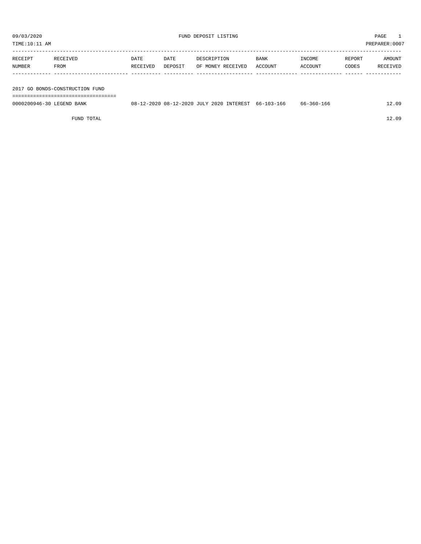| TIME:10:11 AM |                                 |          |         |                   |             |         | PREPARER:0007 |          |
|---------------|---------------------------------|----------|---------|-------------------|-------------|---------|---------------|----------|
| RECEIPT       | RECEIVED                        | DATE     | DATE    | DESCRIPTION       | <b>BANK</b> | INCOME  | REPORT        | AMOUNT   |
| NUMBER        | FROM                            | RECEIVED | DEPOSIT | OF MONEY RECEIVED | ACCOUNT     | ACCOUNT | CODES         | RECEIVED |
|               |                                 |          |         |                   |             |         |               |          |
|               |                                 |          |         |                   |             |         |               |          |
|               | 2017 GO BONDS-CONSTRUCTION FUND |          |         |                   |             |         |               |          |

===================================

| 0000200946-30 LEGEND BANK | 08-12-2020 08-12-2020 JULY 2020 INTEREST 66-103-166 | 66-360-166 | 12.09 |
|---------------------------|-----------------------------------------------------|------------|-------|
|                           |                                                     |            |       |

FUND TOTAL 12.09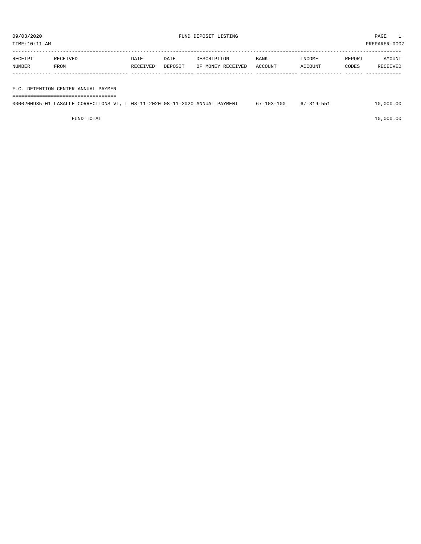| 09/03/2020<br>FUND DEPOSIT LISTING<br>TIME:10:11 AM |                                                                              |          |         |                   |            |            | PAGE<br>PREPARER: 0007 |           |
|-----------------------------------------------------|------------------------------------------------------------------------------|----------|---------|-------------------|------------|------------|------------------------|-----------|
|                                                     |                                                                              |          |         |                   |            |            |                        |           |
| RECEIPT                                             | RECEIVED                                                                     | DATE     | DATE    | DESCRIPTION       | BANK       | INCOME     | REPORT                 | AMOUNT    |
| NUMBER                                              | FROM                                                                         | RECEIVED | DEPOSIT | OF MONEY RECEIVED | ACCOUNT    | ACCOUNT    | CODES                  | RECEIVED  |
|                                                     |                                                                              |          |         |                   |            |            |                        |           |
|                                                     | F.C. DETENTION CENTER ANNUAL PAYMEN                                          |          |         |                   |            |            |                        |           |
|                                                     |                                                                              |          |         |                   |            |            |                        |           |
|                                                     | 0000200935-01 LASALLE CORRECTIONS VI, L 08-11-2020 08-11-2020 ANNUAL PAYMENT |          |         |                   | 67-103-100 | 67-319-551 |                        | 10,000.00 |

 $FUND$  to the contract of  $10,000.00$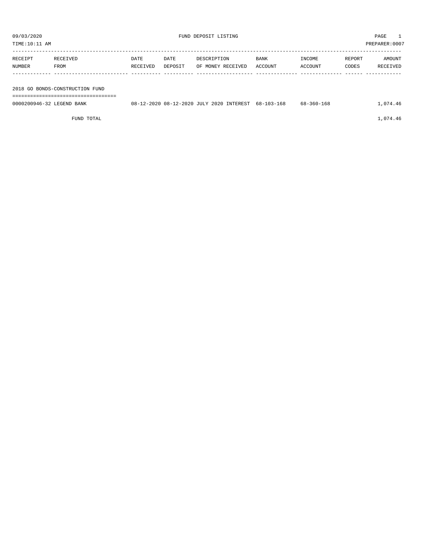| TIME:10:11 AM             |                                 |          |         |                                          |            |                  |        | PREPARER:0007 |
|---------------------------|---------------------------------|----------|---------|------------------------------------------|------------|------------------|--------|---------------|
|                           |                                 |          |         |                                          |            |                  |        |               |
| RECEIPT                   | RECEIVED                        | DATE     | DATE    | DESCRIPTION                              | BANK       | INCOME           | REPORT | AMOUNT        |
| NUMBER                    | FROM                            | RECEIVED | DEPOSIT | OF MONEY RECEIVED                        | ACCOUNT    | ACCOUNT          | CODES  | RECEIVED      |
|                           |                                 |          |         |                                          |            |                  |        |               |
|                           |                                 |          |         |                                          |            |                  |        |               |
|                           | 2018 GO BONDS-CONSTRUCTION FUND |          |         |                                          |            |                  |        |               |
|                           |                                 |          |         |                                          |            |                  |        |               |
| 0000200946-32 LEGEND BANK |                                 |          |         | 08-12-2020 08-12-2020 JULY 2020 INTEREST | 68-103-168 | $68 - 360 - 168$ |        | 1,074.46      |

FUND TOTAL  $1,074.46$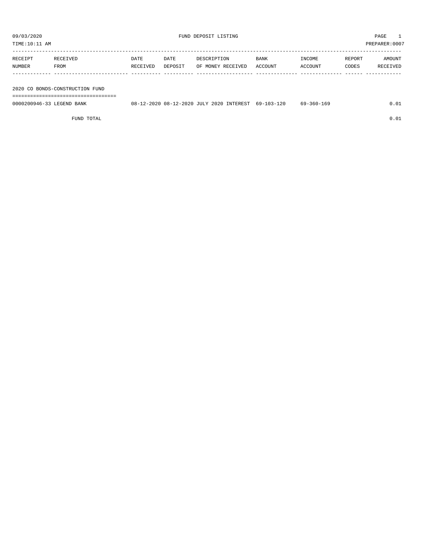| TIME:10:11 AM |          |          |         |                   |         |         | PREPARER:0007 |          |
|---------------|----------|----------|---------|-------------------|---------|---------|---------------|----------|
| RECEIPT       | RECEIVED | DATE     | DATE    | DESCRIPTION       | BANK    | INCOME  | REPORT        | AMOUNT   |
| NUMBER        | FROM     | RECEIVED | DEPOSIT | OF MONEY RECEIVED | ACCOUNT | ACCOUNT | CODES         | RECEIVED |
|               |          |          |         |                   |         |         |               |          |
|               |          |          |         |                   |         |         |               |          |

2020 CO BONDS-CONSTRUCTION FUND

===================================

| 0000200946-3<br>BANK<br>. FIGERINIJ | ^^^^<br>08-<br>. un – 1<br>$\sim$ | $2 - 2020$ | JULY 2020 | INTEREST | 1 2 N<br>102<br>69-<br>$10.5 -$ | 360-<br>6a<br>TP.<br>$\cdots$ |  |
|-------------------------------------|-----------------------------------|------------|-----------|----------|---------------------------------|-------------------------------|--|
|                                     |                                   |            |           |          |                                 |                               |  |

FUND TOTAL  $0.01$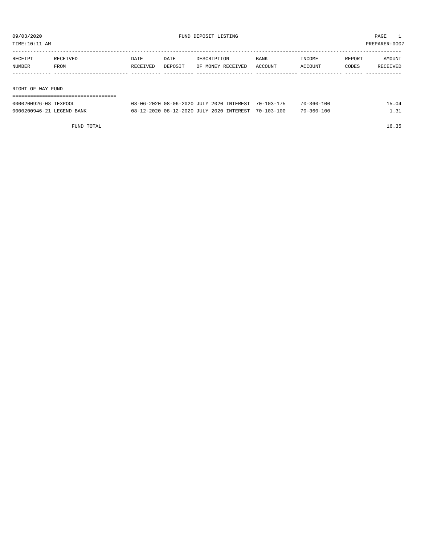TIME:10:11 AM PREPARER:0007

| RECEIVED          | DATE     | DATE    | DESCRIPTION       | <b>BANK</b> | INCOME         | REPORT | AMOUNT   |  |  |
|-------------------|----------|---------|-------------------|-------------|----------------|--------|----------|--|--|
| FROM              | RECEIVED | DEPOSIT | OF MONEY RECEIVED | ACCOUNT     | <b>ACCOUNT</b> | CODES  | RECEIVED |  |  |
|                   |          |         |                   |             |                |        |          |  |  |
|                   |          |         |                   |             |                |        |          |  |  |
|                   |          |         |                   |             |                |        |          |  |  |
| RIGHT OF WAY FUND |          |         |                   |             |                |        |          |  |  |
|                   |          |         |                   |             |                |        |          |  |  |
|                   |          |         |                   |             |                |        |          |  |  |

| 0000200926-08 TEXPOOL     | 08-06-2020 08-06-2020 JULY 2020 INTEREST 70-103-175 |  | $70 - 360 - 100$ | 15.04 |
|---------------------------|-----------------------------------------------------|--|------------------|-------|
| 0000200946-21 LEGEND BANK | 08-12-2020 08-12-2020 JULY 2020 INTEREST 70-103-100 |  | $70 - 360 - 100$ | 1.31  |

FUND TOTAL 16.35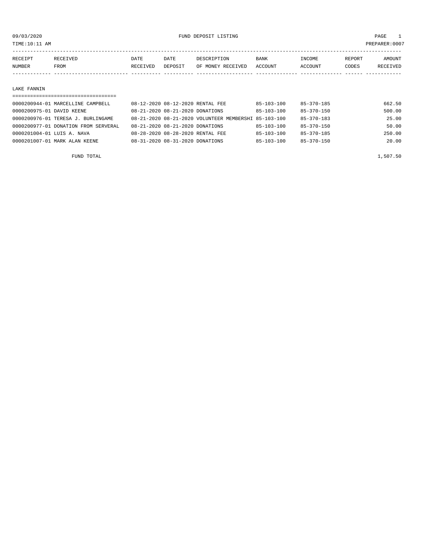TIME:10:11 AM PREPARER:0007

| RECEIPT | RECEIVED    | DATE     | DATE    | DESCRIPTION       | <b>BANK</b> | <b>TNCOME</b> | REPORT | AMOUNT          |
|---------|-------------|----------|---------|-------------------|-------------|---------------|--------|-----------------|
| NUMBER  | <b>FROM</b> | RECEIVED | DEPOSIT | OF MONEY RECEIVED | ACCOUNT     | ACCOUNT       | CODES  | <b>RECEIVED</b> |
|         |             |          |         |                   |             |               |        |                 |

#### LAKE FANNIN

| ------------------------------------ |                                  |                                                      |                  |                  |        |
|--------------------------------------|----------------------------------|------------------------------------------------------|------------------|------------------|--------|
| 0000200944-01 MARCELLINE CAMPBELL    | 08-12-2020 08-12-2020 RENTAL FEE |                                                      | $85 - 103 - 100$ | $85 - 370 - 185$ | 662.50 |
| 0000200975-01 DAVID KEENE            | 08-21-2020 08-21-2020 DONATIONS  |                                                      | $85 - 103 - 100$ | $85 - 370 - 150$ | 500.00 |
| 0000200976-01 TERESA J. BURLINGAME   |                                  | 08-21-2020 08-21-2020 VOLUNTEER MEMBERSHI 85-103-100 |                  | 85-370-183       | 25.00  |
| 0000200977-01 DONATION FROM SERVERAL | 08-21-2020 08-21-2020 DONATIONS  |                                                      | $85 - 103 - 100$ | 85-370-150       | 50.00  |
| 0000201004-01 LUIS A. NAVA           | 08-28-2020 08-28-2020 RENTAL FEE |                                                      | $85 - 103 - 100$ | 85-370-185       | 250.00 |
| 0000201007-01 MARK ALAN KEENE        | 08-31-2020 08-31-2020 DONATIONS  |                                                      | $85 - 103 - 100$ | $85 - 370 - 150$ | 20.00  |
|                                      |                                  |                                                      |                  |                  |        |

FUND TOTAL  $1,507.50$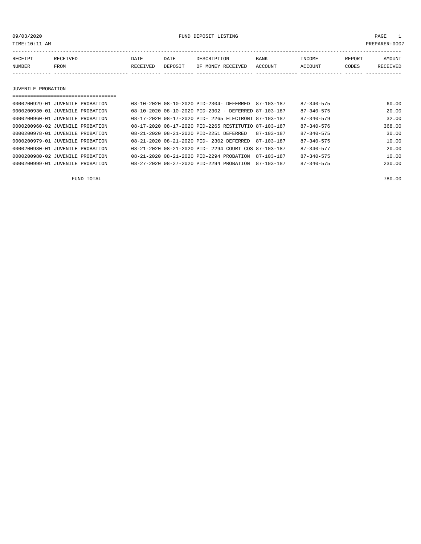09/03/2020 FUND DEPOSIT LISTING PAGE 1

| RECEIPT | RECEIVED | DATE     | DATE    | DESCRIPTION       | <b>BANK</b> | INCOME  | REPORT | AMOUNT   |
|---------|----------|----------|---------|-------------------|-------------|---------|--------|----------|
| NUMBER  | FROM     | RECEIVED | DEPOSIT | OF MONEY RECEIVED | ACCOUNT     | ACCOUNT | CODES  | RECEIVED |
|         |          |          |         |                   |             |         |        |          |

JUVENILE PROBATION

| 0000200929-01 JUVENILE PROBATION |  | 08-10-2020 08-10-2020 PID-2304- DEFERRED             | 87-103-187 | $87 - 340 - 575$ | 60.00  |
|----------------------------------|--|------------------------------------------------------|------------|------------------|--------|
| 0000200930-01 JUVENILE PROBATION |  | 08-10-2020 08-10-2020 PID-2302 - DEFERRED 87-103-187 |            | $87 - 340 - 575$ | 20.00  |
| 0000200960-01 JUVENILE PROBATION |  | 08-17-2020 08-17-2020 PID- 2265 ELECTRONI 87-103-187 |            | $87 - 340 - 579$ | 32.00  |
| 0000200960-02 JUVENILE PROBATION |  | 08-17-2020 08-17-2020 PID-2265 RESTITUTIO 87-103-187 |            | $87 - 340 - 576$ | 368.00 |
| 0000200978-01 JUVENILE PROBATION |  | 08-21-2020 08-21-2020 PID-2251 DEFERRED              | 87-103-187 | $87 - 340 - 575$ | 30.00  |
| 0000200979-01 JUVENILE PROBATION |  | 08-21-2020 08-21-2020 PID- 2302 DEFERRED             | 87-103-187 | $87 - 340 - 575$ | 10.00  |
| 0000200980-01 JUVENILE PROBATION |  | 08-21-2020 08-21-2020 PID- 2294 COURT COS 87-103-187 |            | $87 - 340 - 577$ | 20.00  |
| 0000200980-02 JUVENILE PROBATION |  | 08-21-2020 08-21-2020 PID-2294 PROBATION             | 87-103-187 | $87 - 340 - 575$ | 10.00  |
| 0000200999-01 JUVENILE PROBATION |  | 08-27-2020 08-27-2020 PID-2294 PROBATION             | 87-103-187 | $87 - 340 - 575$ | 230.00 |

FUND TOTAL 780.00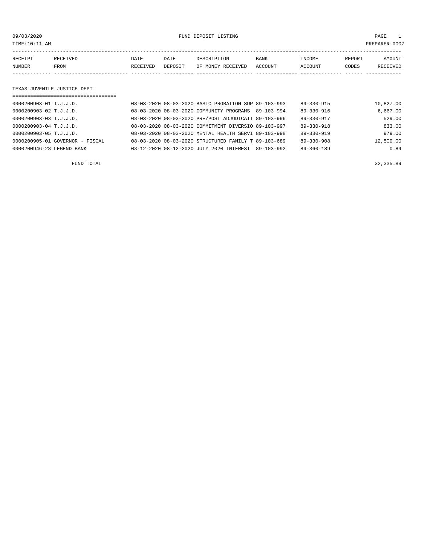09/03/2020 FUND DEPOSIT LISTING PAGE 1

| RECEIPT | <b>RECEIVED</b> | DATE     | DATE    | DESCRIPTION       | <b>BANK</b> | INCOME  | REPORT | AMOUNT   |
|---------|-----------------|----------|---------|-------------------|-------------|---------|--------|----------|
| NUMBER  | FROM            | RECEIVED | DEPOSIT | OF MONEY RECEIVED | ACCOUNT     | ACCOUNT | CODES  | RECEIVED |
|         |                 |          |         |                   |             |         |        |          |

#### TEXAS JUVENILE JUSTICE DEPT.

| =================================== |  |                                                      |            |                  |           |
|-------------------------------------|--|------------------------------------------------------|------------|------------------|-----------|
| 0000200903-01 T.J.J.D.              |  | 08-03-2020 08-03-2020 BASIC PROBATION SUP 89-103-993 |            | 89-330-915       | 10,827.00 |
| 0000200903-02 T.J.J.D.              |  | 08-03-2020 08-03-2020 COMMUNITY PROGRAMS             | 89-103-994 | 89-330-916       | 6,667.00  |
| 0000200903-03 T.J.J.D.              |  | 08-03-2020 08-03-2020 PRE/POST ADJUDICATI 89-103-996 |            | 89-330-917       | 529.00    |
| 0000200903-04 T.J.J.D.              |  | 08-03-2020 08-03-2020 COMMITMENT DIVERSIO 89-103-997 |            | $89 - 330 - 918$ | 833.00    |
| $0.000200903 - 05$ T.J.J.D.         |  | 08-03-2020 08-03-2020 MENTAL HEALTH SERVI 89-103-998 |            | $89 - 330 - 919$ | 979.00    |
| 0000200905-01 GOVERNOR - FISCAL     |  | 08-03-2020 08-03-2020 STRUCTURED FAMILY T 89-103-689 |            | $89 - 330 - 908$ | 12,500.00 |
| 0000200946-28 LEGEND BANK           |  | 08-12-2020 08-12-2020 JULY 2020 INTEREST             | 89-103-992 | $89 - 360 - 189$ | 0.89      |

FUND TOTAL  $32,335.89$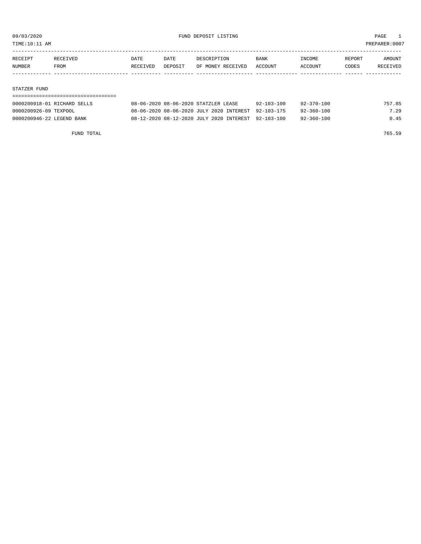TIME:10:11 AM PREPARER:0007

| RECEIPT | RECEIVED    | DATE     | DATE    | DESCRIPTION       | <b>BANK</b> | INCOME  | REPORT | AMOUNT   |
|---------|-------------|----------|---------|-------------------|-------------|---------|--------|----------|
| NUMBER  | <b>FROM</b> | RECEIVED | DEPOSIT | OF MONEY RECEIVED | ACCOUNT     | ACCOUNT | CODES  | RECEIVED |
|         |             |          |         |                   |             |         |        |          |
|         |             |          |         |                   |             |         |        |          |

#### STATZER FUND

| 0000200918-01 RICHARD SELLS | 08-06-2020 08-06-2020 STATZLER LEASE                | $92 - 103 - 100$ | 92-370-100       | 757.85 |
|-----------------------------|-----------------------------------------------------|------------------|------------------|--------|
| 0000200926-09 TEXPOOL       | 08-06-2020 08-06-2020 JULY 2020 INTEREST 92-103-175 |                  | $92 - 360 - 100$ | 7.29   |
| 0000200946-22 LEGEND BANK   | 08-12-2020 08-12-2020 JULY 2020 INTEREST 92-103-100 |                  | $92 - 360 - 100$ | 0.45   |

FUND TOTAL 765.59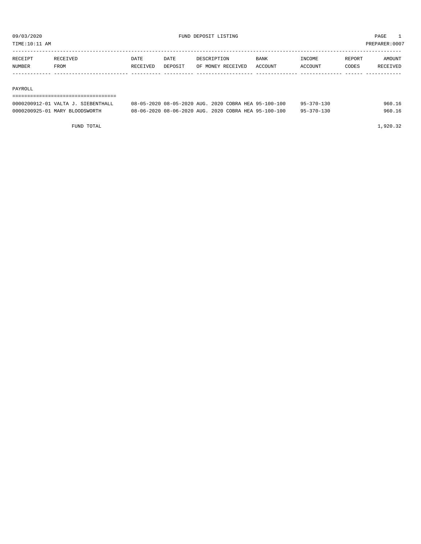TIME:10:11 AM PREPARER:0007

| RECEIPT | RECEIVED | DATE     | DATE           | DESCRIPTION       | <b>BANK</b>    | INCOME  | REPORT | AMOUNT          |
|---------|----------|----------|----------------|-------------------|----------------|---------|--------|-----------------|
| NUMBER  | FROM     | RECEIVED | <b>DEPOSIT</b> | OF MONEY RECEIVED | <b>ACCOUNT</b> | ACCOUNT | CODES  | <b>RECEIVED</b> |
|         |          |          |                |                   |                |         |        |                 |

#### PAYROLL

#### ===================================

| 0000200912-01 VALTA J. SIEBENTHALL | 08-05-2020 08-05-2020 AUG. 2020 COBRA HEA 95-100-100 |  | $95 - 370 - 130$ | 960.16 |
|------------------------------------|------------------------------------------------------|--|------------------|--------|
| 0000200925-01 MARY BLOODSWORTH     | 08-06-2020 08-06-2020 AUG. 2020 COBRA HEA 95-100-100 |  | $95 - 370 - 130$ | 960.16 |

FUND TOTAL 1,920.32